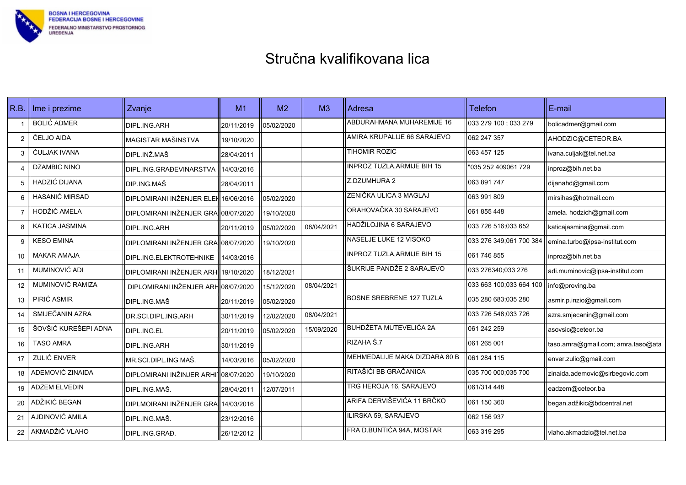

| R.B.           | Ime i prezime         | Zvanje                               | M1         | M <sub>2</sub> | M <sub>3</sub> | Adresa                             | <b>Telefon</b>                             | E-mail                             |
|----------------|-----------------------|--------------------------------------|------------|----------------|----------------|------------------------------------|--------------------------------------------|------------------------------------|
|                | <b>BOLIĆ ADMER</b>    | DIPL.ING.ARH                         | 20/11/2019 | 05/02/2020     |                | ABDURAHMANA MUHAREMIJE 16          | 033 279 100 : 033 279                      | bolicadmer@gmail.com               |
| $\overline{2}$ | ČELJO AIDA            | MAGISTAR MAŠINSTVA                   | 19/10/2020 |                |                | AMIRA KRUPALIJE 66 SARAJEVO        | 062 247 357                                | AHODZIC@CETEOR.BA                  |
| 3              | ČULJAK IVANA          | DIPL.INŽ.MAŠ                         | 28/04/2011 |                |                | TIHOMIR ROZIC                      | 063 457 125                                | ivana.culjak@tel.net.ba            |
| $\overline{4}$ | DŽAMBIĆ NINO          | DIPL.ING.GRAĐEVINARSTVA              | 14/03/2016 |                |                | <b>INPROZ TUZLA, ARMIJE BIH 15</b> | "035 252 409061 729                        | inproz@bih.net.ba                  |
| 5              | HADZIĆ DIJANA         | DIP.ING.MAŠ                          | 28/04/2011 |                |                | Z.DZUMHURA 2                       | 1063 891 747                               | dijanahd@gmail.com                 |
| 6              | <b>HASANIĆ MIRSAD</b> | DIPLOMIRANI INŽENJER ELEH 16/06/2016 |            | 05/02/2020     |                | ZENIČKA ULICA 3 MAGLAJ             | 1063 991 809                               | mirsihas@hotmail.com               |
| $\overline{7}$ | HODŽIĆ AMELA          | DIPLOMIRANI INŽENJER GRA 08/07/2020  |            | 19/10/2020     |                | ORAHOVAČKA 30 SARAJEVO             | 1061 855 448                               | amela. hodzich@gmail.com           |
| 8              | KATICA JASMINA        | DIPL.ING.ARH                         | 20/11/2019 | 05/02/2020     | 08/04/2021     | HADŽILOJINA 6 SARAJEVO             | 033 726 516,033 652                        | katicajasmina@gmail.com            |
| 9              | <b>KESO EMINA</b>     | DIPLOMIRANI INŽENJER GRA 08/07/2020  |            | 19/10/2020     |                | NASELJE LUKE 12 VISOKO             | 033 276 349 061 700 384                    | emina.turbo@ipsa-institut.com      |
| 10             | <b>MAKAR AMAJA</b>    | DIPL.ING.ELEKTROTEHNIKE              | 14/03/2016 |                |                | <b>INPROZ TUZLA, ARMIJE BIH 15</b> | 1061 746 855                               | inproz@bih.net.ba                  |
| 11             | MUMINOVIĆ ADI         | DIPLOMIRANI INŽENJER ARHI 19/10/2020 |            | 18/12/2021     |                | ŠUKRIJE PANDŽE 2 SARAJEVO          | 033 276340:033 276                         | adi.muminovic@ipsa-institut.com    |
| 12             | MUMINOVIĆ RAMIZA      | DIPLOMIRANI INŽENJER ARH 08/07/2020  |            | 15/12/2020     | 08/04/2021     |                                    | 033 663 100;033 664 100    info@proving.ba |                                    |
| 13             | PIRIĆ ASMIR           | DIPL.ING.MAŠ                         | 20/11/2019 | 05/02/2020     |                | <b>BOSNE SREBRENE 127 TUZLA</b>    | 035 280 683,035 280                        | asmir.p.inzio@gmail.com            |
| 14             | SMIJEČANIN AZRA       | DR.SCI.DIPL.ING.ARH                  | 30/11/2019 | 12/02/2020     | 08/04/2021     |                                    | 033 726 548:033 726                        | azra.smjecanin@gmail.com           |
| 15             | ŠOVŠIĆ KUREŠEPI ADNA  | DIPL.ING.EL                          | 20/11/2019 | 05/02/2020     | 15/09/2020     | <b>BUHDŽETA MUTEVELIĆA 2A</b>      | 061 242 259                                | asovsic@ceteor.ba                  |
| 16             | <b>TASO AMRA</b>      | DIPL.ING.ARH                         | 30/11/2019 |                |                | RIZAHA Š.7                         | 1061 265 001                               | taso.amra@gmail.com; amra.taso@ata |
| 17             | ZULIĆ ENVER           | MR.SCI.DIPL.ING MAŠ.                 | 14/03/2016 | 05/02/2020     |                | MEHMEDALIJE MAKA DIZDARA 80 B      | 061 284 115                                | enver.zulic@gmail.com              |
| 18             | ADEMOVIĆ ZINAIDA      | DIPLOMIRANI INŽINJER ARHI108/07/2020 |            | 19/10/2020     |                | RITAŠIĆI BB GRAČANICA              | 035 700 000,035 700                        | zinaida.ademovic@sirbegovic.com    |
| 19             | ADŽEM ELVEDIN         | DIPL.ING.MAŠ.                        | 28/04/2011 | 12/07/2011     |                | TRG HEROJA 16, SARAJEVO            | 061/314 448                                | eadzem@ceteor.ba                   |
| 20             | ADŽIKIĆ BEGAN         | DIPLMOIRANI INŽENJER GRA 14/03/2016  |            |                |                | ARIFA DERVIŠEVIĆA 11 BRČKO         | 061 150 360                                | began.adžikic@bdcentral.net        |
| 21             | AJDINOVIĆ AMILA       | DIPL.ING.MAŠ.                        | 23/12/2016 |                |                | ILIRSKA 59, SARAJEVO               | 1062 156 937                               |                                    |
| 22             | AKMADŽIĆ VLAHO        | DIPL.ING.GRAĐ.                       | 26/12/2012 |                |                | FRA D.BUNTIĆA 94A, MOSTAR          | 063 319 295                                | vlaho.akmadzic@tel.net.ba          |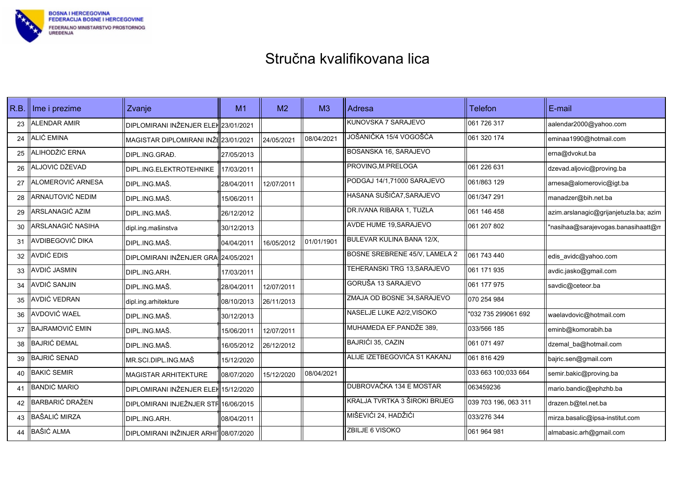

| R.B. | Ime i prezime          | Zvanje                               | M1         | M <sub>2</sub> | M <sub>3</sub> | Adresa                        | <b>Telefon</b>       | E-mail                                 |
|------|------------------------|--------------------------------------|------------|----------------|----------------|-------------------------------|----------------------|----------------------------------------|
| 23   | <b>ALENDAR AMIR</b>    | DIPLOMIRANI INŽENJER ELEH 23/01/2021 |            |                |                | KUNOVSKA 7 SARAJEVO           | 061 726 317          | aalendar2000@yahoo.com                 |
| 24   | ALIĆ EMINA             | MAGISTAR DIPLOMIRANI INŽE 23/01/2021 |            | 24/05/2021     | 08/04/2021     | JOŠANIČKA 15/4 VOGOŠĆA        | 061 320 174          | eminaa1990@hotmail.com                 |
| 25   | ALIHODŽIĆ ERNA         | DIPL.ING.GRAĐ.                       | 27/05/2013 |                |                | BOSANSKA 16, SARAJEVO         |                      | erna@dvokut.ba                         |
| 26   | ALJOVIĆ DŽEVAD         | DIPL.ING.ELEKTROTEHNIKE              | 17/03/2011 |                |                | PROVING, M. PRELOGA           | 061 226 631          | dzevad.aljovic@proving.ba              |
| 27   | ALOMEROVIĆ ARNESA      | DIPL.ING.MAŠ.                        | 28/04/2011 | 12/07/2011     |                | PODGAJ 14/1,71000 SARAJEVO    | 1061/863 129         | arnesa@alomerovic@igt.ba               |
| 28   | ARNAUTOVIĆ NEDIM       | DIPL.ING.MAŠ.                        | 15/06/2011 |                |                | HASANA SUŠIĆA7, SARAJEVO      | 061/347 291          | manadzer@bih.net.ba                    |
| 29   | ARSLANAGIĆ AZIM        | DIPL.ING.MAŠ.                        | 26/12/2012 |                |                | DR.IVANA RIBARA 1, TUZLA      | 1061 146 458         | azim.arslanagic@grijanjetuzla.ba; azim |
| 30   | ARSLANAGIĆ NASIHA      | dipl.ing.mašinstva                   | 30/12/2013 |                |                | <b>AVDE HUME 19, SARAJEVO</b> | 061 207 802          | "nasihaa@sarajevogas.banasihaatt@n     |
| 31   | AVDIBEGOVIĆ DIKA       | DIPL.ING.MAŠ.                        | 04/04/2011 | 16/05/2012     | 01/01/1901     | BULEVAR KULINA BANA 12/X,     |                      |                                        |
| 32   | AVDIĆ EDIS             | DIPLOMIRANI INŽENJER GRA 24/05/2021  |            |                |                | BOSNE SREBRENE 45/V, LAMELA 2 | 1061 743 440         | edis_avidc@yahoo.com                   |
| 33   | AVDIĆ JASMIN           | DIPL.ING.ARH.                        | 17/03/2011 |                |                | TEHERANSKI TRG 13.SARAJEVO    | 1061 171 935         | avdic.jasko@gmail.com                  |
| 34   | <b>AVDIĆ SANJIN</b>    | DIPL.ING.MAŠ.                        | 28/04/2011 | 12/07/2011     |                | GORUŠA 13 SARAJEVO            | 061 177 975          | savdic@ceteor.ba                       |
| 35   | AVDIĆ VEDRAN           | dipl.ing.arhitekture                 | 08/10/2013 | 26/11/2013     |                | ZMAJA OD BOSNE 34, SARAJEVO   | 070 254 984          |                                        |
| 36   | AVDOVIĆ WAEL           | DIPL.ING.MAŠ.                        | 30/12/2013 |                |                | NASELJE LUKE A2/2, VISOKO     | "032 735 299061 692  | waelavdovic@hotmail.com                |
| 37   | <b>BAJRAMOVIĆ EMIN</b> | DIPL.ING.MAŠ.                        | 15/06/2011 | 12/07/2011     |                | MUHAMEDA EF.PANDŽE 389,       | 033/566 185          | eminb@komorabih.ba                     |
| 38   | <b>BAJRIĆ ĐEMAL</b>    | DIPL.ING.MAŠ.                        | 16/05/2012 | 26/12/2012     |                | BAJRIĆI 35, CAZIN             | 061 071 497          | dzemal ba@hotmail.com                  |
| 39   | <b>BAJRIĆ SENAD</b>    | MR.SCI.DIPL.ING.MAŠ                  | 15/12/2020 |                |                | ALIJE IZETBEGOVIĆA S1 KAKANJ  | 1061 816 429         | bajric.sen@gmail.com                   |
| 40   | <b>BAKIĆ SEMIR</b>     | MAGISTAR ARHITEKTURE                 | 08/07/2020 | 15/12/2020     | 08/04/2021     |                               | 033 663 100,033 664  | semir.bakic@proving.ba                 |
| 41   | <b>BANDIĆ MARIO</b>    | DIPLOMIRANI INŽENJER ELEK 15/12/2020 |            |                |                | DUBROVAČKA 134 E MOSTAR       | 063459236            | mario.bandic@ephzhb.ba                 |
| 42   | <b>BARBARIĆ DRAŽEN</b> | DIPLOMIRANI INJEŽNJER STF 16/06/2015 |            |                |                | KRALJA TVRTKA 3 ŠIROKI BRIJEG | 039 703 196, 063 311 | drazen.b@tel.net.ba                    |
| 43   | <b>BAŠALIĆ MIRZA</b>   | DIPL.ING.ARH.                        | 08/04/2011 |                |                | MIŠEVIĆI 24, HADŽIĆI          | 033/276 344          | mirza.basalic@ipsa-institut.com        |
| 44   | <b>BAŠIĆ ALMA</b>      | DIPLOMIRANI INŽINJER ARHI108/07/2020 |            |                |                | <b>ZBILJE 6 VISOKO</b>        | 061 964 981          | almabasic.arh@gmail.com                |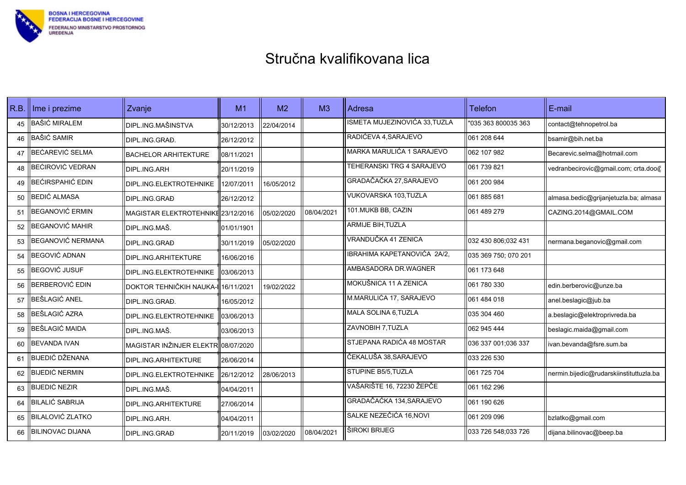

| R.B. | Ime i prezime           | Zvanje                              | M1         | M <sub>2</sub> | M <sub>3</sub> | Adresa                        | <b>Telefon</b>       | E-mail                                  |
|------|-------------------------|-------------------------------------|------------|----------------|----------------|-------------------------------|----------------------|-----------------------------------------|
| 45   | <b>BAŠIĆ MIRALEM</b>    | DIPL.ING.MAŠINSTVA                  | 30/12/2013 | 22/04/2014     |                | ISMETA MUJEZINOVIĆA 33, TUZLA | "035 363 800035 363  | contact@tehnopetrol.ba                  |
| 46   | <b>BAŠIĆ SAMIR</b>      | DIPL.ING.GRAĐ.                      | 26/12/2012 |                |                | RADIĆEVA 4, SARAJEVO          | 061 208 644          | bsamir@bih.net.ba                       |
| 47   | BEĆAREVIĆ SELMA         | <b>BACHELOR ARHITEKTURE</b>         | 08/11/2021 |                |                | MARKA MARULIĆA 1 SARAJEVO     | 062 107 982          | Becarevic.selma@hotmail.com             |
| 48   | BEĆIROVIĆ VEDRAN        | DIPL.ING.ARH                        | 20/11/2019 |                |                | TEHERANSKI TRG 4 SARAJEVO     | 061 739 821          | vedranbecirovic@gmail.com; crta.doo@    |
| 49   | <b>BEĆIRSPAHIĆ EDIN</b> | DIPL.ING.ELEKTROTEHNIKE             | 12/07/2011 | 16/05/2012     |                | GRADAČAČKA 27, SARAJEVO       | 1061 200 984         |                                         |
| 50   | <b>BEDIĆ ALMASA</b>     | DIPL.ING.GRAĐ                       | 26/12/2012 |                |                | VUKOVARSKA 103,TUZLA          | 061 885 681          | almasa.bedic@grijanjetuzla.ba; almasa   |
| 51   | <b>BEGANOVIĆ ERMIN</b>  | MAGISTAR ELEKTROTEHNIKE 23/12/2016  |            | 05/02/2020     | 08/04/2021     | 101. MUKB BB, CAZIN           | 061 489 279          | CAZING.2014@GMAIL.COM                   |
| 52   | <b>BEGANOVIĆ MAHIR</b>  | DIPL.ING.MAŠ.                       | 01/01/1901 |                |                | <b>ARMIJE BIH, TUZLA</b>      |                      |                                         |
| 53   | BEGANOVIĆ NERMANA       | DIPL.ING.GRAĐ                       | 30/11/2019 | 05/02/2020     |                | VRANDUČKA 41 ZENICA           | 032 430 806;032 431  | nermana.beganovic@gmail.com             |
| 54   | BEGOVIĆ ADNAN           | DIPL.ING.ARHITEKTURE                | 16/06/2016 |                |                | IBRAHIMA KAPETANOVIĆA 2A/2.   | 035 369 750; 070 201 |                                         |
| 55   | <b>BEGOVIĆ JUSUF</b>    | DIPL.ING.ELEKTROTEHNIKE             | 03/06/2013 |                |                | AMBASADORA DR.WAGNER          | 1061 173 648         |                                         |
| 56   | <b>BERBEROVIĆ EDIN</b>  | DOKTOR TEHNIČKIH NAUKA-I 16/11/2021 |            | 19/02/2022     |                | MOKUŠNICA 11 A ZENICA         | 1061 780 330         | edin.berberovic@unze.ba                 |
| 57   | BEŠLAGIĆ ANEL           | DIPL.ING.GRAĐ.                      | 16/05/2012 |                |                | M.MARULIĆA 17, SARAJEVO       | 1061 484 018         | anel.beslagic@jub.ba                    |
| 58   | BEŠLAGIĆ AZRA           | DIPL.ING.ELEKTROTEHNIKE             | 03/06/2013 |                |                | MALA SOLINA 6,TUZLA           | 035 304 460          | a.beslagic@elektroprivreda.ba           |
| 59   | BEŠLAGIĆ MAIDA          | DIPL.ING.MAŠ.                       | 03/06/2013 |                |                | ZAVNOBIH 7, TUZLA             | 1062 945 444         | beslagic.maida@gmail.com                |
| 60   | <b>BEVANDA IVAN</b>     | MAGISTAR INŽINJER ELEKTR 08/07/2020 |            |                |                | STJEPANA RADIĆA 48 MOSTAR     | 036 337 001:036 337  | ivan.bevanda@fsre.sum.ba                |
| 61   | <b>BIJEDIĆ DŽENANA</b>  | DIPL.ING.ARHITEKTURE                | 26/06/2014 |                |                | ČEKALUŠA 38, SARAJEVO         | 1033 226 530         |                                         |
| 62   | <b>BIJEDIĆ NERMIN</b>   | DIPL.ING.ELEKTROTEHNIKE             | 26/12/2012 | 28/06/2013     |                | STUPINE B5/5, TUZLA           | 1061 725 704         | nermin.bijedic@rudarskiinstituttuzla.ba |
| 63   | <b>BIJEDIĆ NEZIR</b>    | DIPL.ING.MAŠ.                       | 04/04/2011 |                |                | VAŠARIŠTE 16, 72230 ŽEPČE     | 061 162 296          |                                         |
| 64   | <b>BILALIĆ SABRIJA</b>  | DIPL.ING.ARHITEKTURE                | 27/06/2014 |                |                | GRADAČAĆKA 134, SARAJEVO      | 1061 190 626         |                                         |
| 65   | <b>BILALOVIĆ ZLATKO</b> | DIPL.ING.ARH.                       | 04/04/2011 |                |                | SALKE NEZEČIĆA 16, NOVI       | 061 209 096          | bzlatko@gmail.com                       |
| 66   | <b>BILINOVAC DIJANA</b> | DIPL.ING.GRAĐ                       | 20/11/2019 | 03/02/2020     | 08/04/2021     | ŠIROKI BRIJEG                 | 033 726 548,033 726  | dijana.bilinovac@beep.ba                |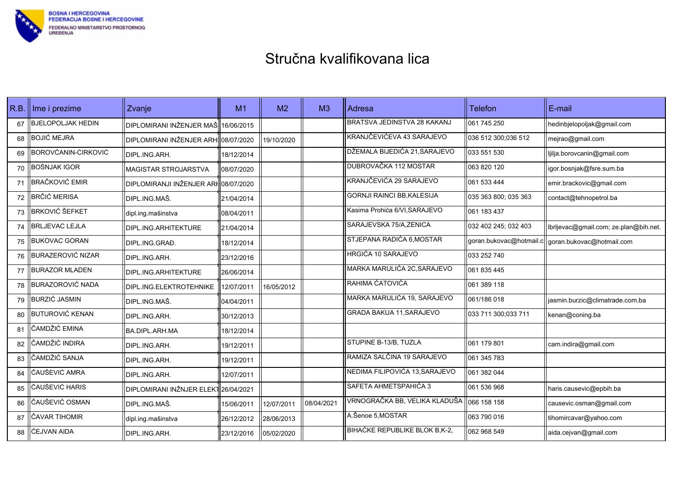

| R.B. | Ime i prezime            | Zvanje                               | M1         | M <sub>2</sub> | M <sub>3</sub> | Adresa                            | Telefon              | l E-mail                                           |
|------|--------------------------|--------------------------------------|------------|----------------|----------------|-----------------------------------|----------------------|----------------------------------------------------|
| 67   | <b>BJELOPOLJAK HEDIN</b> | DIPLOMIRANI INŽENJER MAŠ 16/06/2015  |            |                |                | BRATSVA JEDINSTVA 28 KAKANJ       | 1061 745 250         | hedinbjelopoljak@gmail.com                         |
| 68   | <b>BOJIĆ MEJRA</b>       | DIPLOMIRANI INŽENJER ARHI08/07/2020  |            | 19/10/2020     |                | KRANJČEVIĆEVA 43 SARAJEVO         | 036 512 300,036 512  | mejrao@gmail.com                                   |
| 69   | BOROVČANIN-ĆIRKOVIĆ      | DIPL.ING.ARH.                        | 18/12/2014 |                |                | DŽEMALA BIJEDIĆA 21, SARAJEVO     | 033 551 530          | ljilja.borovcanin@gmail.com                        |
| 70   | BOŠNJAK IGOR             | MAGISTAR STROJARSTVA                 | 08/07/2020 |                |                | DUBROVAČKA 112 MOSTAR             | 063 820 120          | igor.bosnjak@fsre.sum.ba                           |
| 71   | <b>BRAČKOVIĆ EMIR</b>    | DIPLOMIRANJI INŽENJER ARH08/07/2020  |            |                |                | KRANJČEVIĆA 29 SARAJEVO           | 061 533 444          | emir.brackovic@gmail.com                           |
| 72   | <b>BRČIĆ MERISA</b>      | IDIPL.ING.MAŠ.                       | 21/04/2014 |                |                | <b>GORNJI RAINCI BB, KALESIJA</b> | 035 363 800; 035 363 | contact@tehnopetrol.ba                             |
| 73   | <b>BRKOVIĆ ŠEFKET</b>    | dipl.ing.mašinstva                   | 08/04/2011 |                |                | Kasima Prohića 6/VI, SARAJEVO     | 061 183 437          |                                                    |
| 74   | <b>BRLJEVAC LEJLA</b>    | DIPL.ING.ARHITEKTURE                 | 21/04/2014 |                |                | SARAJEVSKA 75/A, ZENICA           | 032 402 245; 032 403 | lbrljevac@gmail.com; ze.plan@bih.net.              |
| 75   | <b>BUKOVAC GORAN</b>     | DIPL.ING.GRAĐ.                       | 18/12/2014 |                |                | STJEPANA RADIĆA 6, MOSTAR         |                      | goran.bukovac@hotmail.c  goran.bukovac@hotmail.com |
| 76   | <b>BURAZEROVIĆ NIZAR</b> | DIPL.ING.ARH.                        | 23/12/2016 |                |                | <b>HRGIĆA 10 SARAJEVO</b>         | 033 252 740          |                                                    |
| 77   | <b>BURAZOR MLADEN</b>    | DIPL.ING.ARHITEKTURE                 | 26/06/2014 |                |                | MARKA MARULIĆA 2C, SARAJEVO       | 061 835 445          |                                                    |
| 78   | <b>BURAZOROVIĆ NADA</b>  | DIPL.ING.ELEKTROTEHNIKE              | 12/07/2011 | 16/05/2012     |                | RAHIMA ĆATOVIĆA                   | 061 389 118          |                                                    |
| 79   | <b>BURZIĆ JASMIN</b>     | DIPL.ING.MAŠ.                        | 04/04/2011 |                |                | MARKA MARULIĆA 19, SARAJEVO       | 061/186 018          | jasmin.burzic@climatrade.com.ba                    |
| 80   | <b>BUTUROVIĆ KENAN</b>   | DIPL.ING.ARH.                        | 30/12/2013 |                |                | <b>GRADA BAKUA 11, SARAJEVO</b>   | 033 711 300,033 711  | kenan@coning.ba                                    |
| 81   | ČAMDŽIĆ EMINA            | <b>BA.DIPL.ARH.MA</b>                | 18/12/2014 |                |                |                                   |                      |                                                    |
| 82   | ČAMDŽIĆ INDIRA           | DIPL.ING.ARH.                        | 19/12/2011 |                |                | STUPINE B-13/B, TUZLA             | 061 179 801          | cam.indira@gmail.com                               |
| 83   | ČAMDŽIĆ SANJA            | DIPL.ING.ARH.                        | 19/12/2011 |                |                | RAMIZA SALČINA 19 SARAJEVO        | 061 345 783          |                                                    |
| 84   | ČAUŠEVIĆ AMRA            | DIPL.ING.ARH.                        | 12/07/2011 |                |                | NEDIMA FILIPOVIĆA 13, SARAJEVO    | 061 382 044          |                                                    |
| 85   | ČAUŠEVIĆ HARIS           | DIPLOMIRANI INŽNJER ELEKT 26/04/2021 |            |                |                | SAFETA AHMETSPAHIĆA 3             | 061 536 968          | haris.causevic@epbih.ba                            |
| 86   | ČAUŠEVIĆ OSMAN           | DIPL.ING.MAŠ.                        | 15/06/2011 | 12/07/2011     | 08/04/2021     | VRNOGRAČKA BB, VELIKA KLADUŠA     | 066 158 158          | causevic.osman@gmail.com                           |
| 87   | ČAVAR TIHOMIR            | dipl.ing.mašinstva                   | 26/12/2012 | 28/06/2013     |                | A.Šenoe 5, MOSTAR                 | 063 790 016          | tihomircavar@yahoo.com                             |
| 88   | <b>ĆEJVAN AIDA</b>       | DIPL.ING.ARH.                        | 23/12/2016 | 05/02/2020     |                | BIHAĆKE REPUBLIKE BLOK B,K-2,     | l062 968 549         | aida.cejvan@gmail.com                              |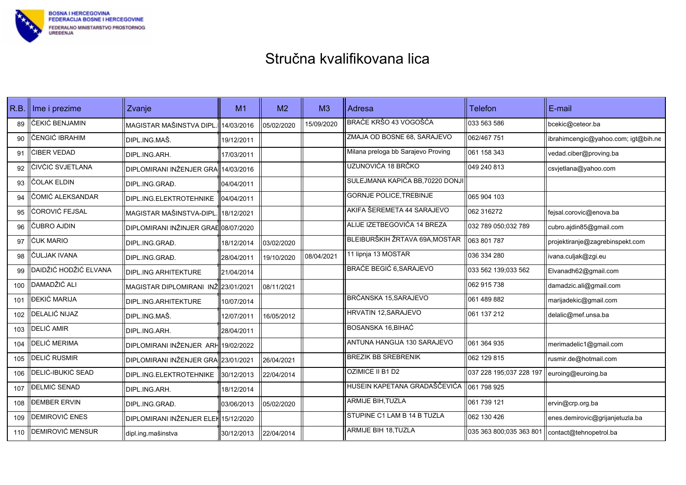

| R.B. | Ime i prezime         | Zvanje                               | M <sub>1</sub> | M <sub>2</sub> | M <sub>3</sub> | Adresa                             | <b>Telefon</b>          | E-mail                              |
|------|-----------------------|--------------------------------------|----------------|----------------|----------------|------------------------------------|-------------------------|-------------------------------------|
| 89   | ČEKIĆ BENJAMIN        | MAGISTAR MAŠINSTVA DIPL.             | 14/03/2016     | 05/02/2020     | 15/09/2020     | BRAĆE KRŠO 43 VOGOŠĆA              | 033 563 586             | bcekic@ceteor.ba                    |
| 90   | ČENGIĆ IBRAHIM        | DIPL.ING.MAŠ.                        | 19/12/2011     |                |                | ZMAJA OD BOSNE 68, SARAJEVO        | 062/467 751             | ibrahimcengic@yahoo.com; igt@bih.ne |
| 91   | ĆIBER VEDAD           | DIPL.ING.ARH.                        | 17/03/2011     |                |                | Milana preloga bb Sarajevo Proving | 061 158 343             | vedad.ciber@proving.ba              |
| 92   | ČIVČIĆ SVJETLANA      | DIPLOMIRANI INŽENJER GRA 14/03/2016  |                |                |                | UZUNOVIĆA 18 BRČKO                 | 049 240 813             | csvjetlana@yahoo.com                |
| 93   | ČOLAK ELDIN           | DIPL.ING.GRAĐ.                       | 04/04/2011     |                |                | SULEJMANA KAPIĆA BB,70220 DONJI    |                         |                                     |
| 94   | ČOMIĆ ALEKSANDAR      | DIPL.ING.ELEKTROTEHNIKE              | 04/04/2011     |                |                | <b>GORNJE POLICE, TREBINJE</b>     | 065 904 103             |                                     |
| 95   | <b>ĆOROVIĆ FEJSAL</b> | MAGISTAR MAŠINSTVA-DIPL.             | 18/12/2021     |                |                | AKIFA ŠEREMETA 44 SARAJEVO         | 062 316272              | fejsal.corovic@enova.ba             |
| 96   | ČUBRO AJDIN           | DIPLOMIRANI INŽINJER GRAE 08/07/2020 |                |                |                | ALIJE IZETBEGOVIĆA 14 BREZA        | 032 789 050;032 789     | cubro.ajdin85@gmail.com             |
| 97   | <b>ĆUK MARIO</b>      | DIPL.ING.GRAĐ.                       | 18/12/2014     | 03/02/2020     |                | BLEIBURŠKIH ŽRTAVA 69A, MOSTAR     | 063 801 787             | projektiranje@zagrebinspekt.com     |
| 98   | ČULJAK IVANA          | DIPL.ING.GRAĐ.                       | 28/04/2011     | 19/10/2020     | 08/04/2021     | 11 lipnja 13 MOSTAR                | 036 334 280             | ivana.culjak@zgi.eu                 |
| 99   | DAIDŽIĆ HODŽIĆ ELVANA | DIPL.ING ARHITEKTURE                 | 21/04/2014     |                |                | <b>BRAĆE BEGIĆ 6, SARAJEVO</b>     | 033 562 139;033 562     | Elvanadh62@gmail.com                |
| 100  | DAMADŽIĆ ALI          | MAGISTAR DIPLOMIRANI INŽ 23/01/2021  |                | 08/11/2021     |                |                                    | 062 915 738             | damadzic.ali@gmail.com              |
| 101  | ĐEKIĆ MARIJA          | DIPL.ING.ARHITEKTURE                 | 10/07/2014     |                |                | BRČANSKA 15, SARAJEVO              | 061 489 882             | marijadekic@gmail.com               |
| 102  | DELALIĆ NIJAZ         | DIPL.ING.MAŠ.                        | 12/07/2011     | 16/05/2012     |                | HRVATIN 12, SARAJEVO               | 061 137 212             | delalic@mef.unsa.ba                 |
| 103  | DELIĆ AMIR            | DIPL.ING.ARH.                        | 28/04/2011     |                |                | BOSANSKA 16,BIHAĆ                  |                         |                                     |
| 104  | <b>DELIĆ MERIMA</b>   | DIPLOMIRANI INŽENJER ARH             | 19/02/2022     |                |                | ANTUNA HANGIJA 130 SARAJEVO        | 061 364 935             | merimadelic1@gmail.com              |
| 105  | <b>DELIĆ RUSMIR</b>   | DIPLOMIRANI INŽENJER GRA 23/01/2021  |                | 26/04/2021     |                | <b>BREZIK BB SREBRENIK</b>         | 062 129 815             | rusmir.de@hotmail.com               |
| 106  | DELIĆ-IBUKIĆ SEAD     | DIPL.ING.ELEKTROTEHNIKE              | 30/12/2013     | 22/04/2014     |                | OZIMICE II B1 D2                   | 037 228 195;037 228 197 | euroing@euroing.ba                  |
| 107  | ĐELMIĆ SENAD          | DIPL.ING.ARH.                        | 18/12/2014     |                |                | HUSEIN KAPETANA GRADAŠČEVIĆA       | 061 798 925             |                                     |
| 108  | <b>DEMBER ERVIN</b>   | DIPL.ING.GRAĐ.                       | 03/06/2013     | 05/02/2020     |                | ARMIJE BIH, TUZLA                  | 061 739 121             | ervin@crp.org.ba                    |
| 109  | <b>DEMIROVIĆ ENES</b> | DIPLOMIRANI INŽENJER ELEH 15/12/2020 |                |                |                | STUPINE C1 LAM B 14 B TUZLA        | 062 130 426             | enes.demirovic@grijanjetuzla.ba     |
| 110  | DEMIROVIĆ MENSUR      | dipl.ing.mašinstva                   | 30/12/2013     | 22/04/2014     |                | <b>ARMIJE BIH 18, TUZLA</b>        | 035 363 800,035 363 801 | contact@tehnopetrol.ba              |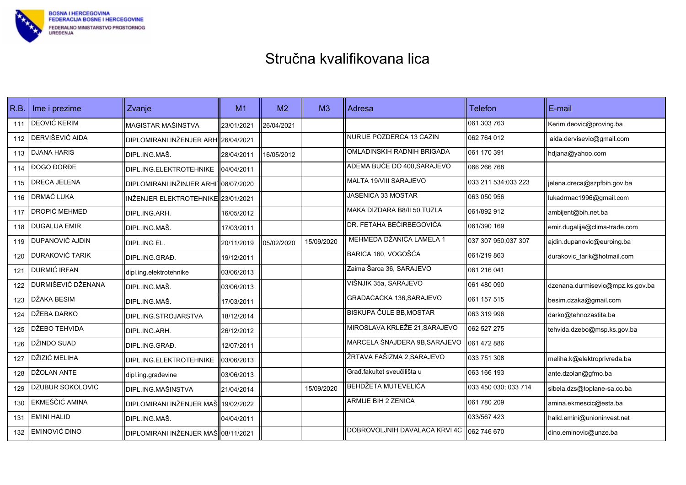

| R.B. | $\parallel$ lme i prezime | Zvanje                                            | M1         | M <sub>2</sub> | M <sub>3</sub> | Adresa                                      | <b>Telefon</b>       | E-mail                           |
|------|---------------------------|---------------------------------------------------|------------|----------------|----------------|---------------------------------------------|----------------------|----------------------------------|
| 111  | DEOVIĆ KERIM              | MAGISTAR MAŠINSTVA                                | 23/01/2021 | 26/04/2021     |                |                                             | 061 303 763          | Kerim.deovic@proving.ba          |
| 112  | DERVIŠEVIĆ AIDA           | DIPLOMIRANI INŽENJER ARHI26/04/2021               |            |                |                | NURIJE POZDERCA 13 CAZIN                    | 062 764 012          | aida.dervisevic@gmail.com        |
| 113  | <b>DJANA HARIS</b>        | DIPL.ING.MAŠ.                                     | 28/04/2011 | 16/05/2012     |                | OMLADINSKIH RADNIH BRIGADA                  | 061 170 391          | hdjana@yahoo.com                 |
| 114  | <b>ĐOGO ĐORĐE</b>         | DIPL.ING.ELEKTROTEHNIKE                           | 04/04/2011 |                |                | ADEMA BUĆE DO 400, SARAJEVO                 | l066 266 768         |                                  |
| 115  | DRECA JELENA              | DIPLOMIRANI INŽINJER ARHI <sup>-</sup> 08/07/2020 |            |                |                | MALTA 19/VIII SARAJEVO                      | 033 211 534:033 223  | jelena.dreca@szpfbih.gov.ba      |
| 116  | DRMAĆ LUKA                | INŽENJER ELEKTROTEHNIKE 23/01/2021                |            |                |                | JASENICA 33 MOSTAR                          | 063 050 956          | lukadrmac1996@gmail.com          |
| 117  | DROPIĆ MEHMED             | DIPL.ING.ARH.                                     | 16/05/2012 |                |                | MAKA DIZDARA B8/II 50, TUZLA                | 061/892 912          | ambijent@bih.net.ba              |
| 118  | <b>DUGALIJA EMIR</b>      | DIPL.ING.MAŠ.                                     | 17/03/2011 |                |                | DR. FETAHA BEĆIRBEGOVIĆA                    | 061/390 169          | emir.dugalija@clima-trade.com    |
| 119  | DUPANOVIĆ AJDIN           | DIPL.ING EL.                                      | 20/11/2019 | 05/02/2020     | 15/09/2020     | MEHMEDA DŽANIĆA LAMELA 1                    | 037 307 950;037 307  | ajdin.dupanovic@euroing.ba       |
| 120  | DURAKOVIĆ TARIK           | DIPL.ING.GRAĐ.                                    | 19/12/2011 |                |                | BARICA 160, VOGOŠĆA                         | 061/219 863          | durakovic_tarik@hotmail.com      |
| 121  | DURMIĆ IRFAN              | dipl.ing.elektrotehnike                           | 03/06/2013 |                |                | Zaima Šarca 36, SARAJEVO                    | 061 216 041          |                                  |
| 122  | DURMIŠEVIĆ DŽENANA        | DIPL.ING.MAŠ.                                     | 03/06/2013 |                |                | VIŠNJIK 35a, SARAJEVO                       | 1061 480 090         | dzenana.durmisevic@mpz.ks.gov.ba |
| 123  | DŽAKA BESIM               | DIPL.ING.MAŠ.                                     | 17/03/2011 |                |                | GRADAČAČKA 136, SARAJEVO                    | 061 157 515          | besim.dzaka@gmail.com            |
| 124  | DŽEBA DARKO               | DIPL.ING.STROJARSTVA                              | 18/12/2014 |                |                | <b>BISKUPA ČULE BB, MOSTAR</b>              | 063 319 996          | darko@tehnozastita.ba            |
| 125  | DŽEBO TEHVIDA             | DIPL.ING.ARH.                                     | 26/12/2012 |                |                | MIROSLAVA KRLEŽE 21, SARAJEVO               | 062 527 275          | tehvida.dzebo@msp.ks.gov.ba      |
| 126  | DŽINDO SUAD               | DIPL.ING.GRAĐ.                                    | 12/07/2011 |                |                | MARCELA ŠNAJDERA 9B, SARAJEVO               | 061 472 886          |                                  |
| 127  | DŽIZIĆ MELIHA             | DIPL.ING.ELEKTROTEHNIKE                           | 03/06/2013 |                |                | ŽRTAVA FAŠIZMA 2, SARAJEVO                  | 033 751 308          | meliha.k@elektroprivreda.ba      |
| 128  | DŽOLAN ANTE               | dipl.ing.građevine                                | 03/06/2013 |                |                | Građ.fakultet sveučilišta u                 | 1063 166 193         | ante.dzolan@gfmo.ba              |
| 129  | DŽUBUR SOKOLOVIĆ          | <b>DIPL.ING.MAŠINSTVA</b>                         | 21/04/2014 |                | 15/09/2020     | BEHDŽETA MUTEVELIĆA                         | 033 450 030; 033 714 | sibela.dzs@toplane-sa.co.ba      |
| 130  | EKMEŠČIĆ AMINA            | DIPLOMIRANI INŽENJER MAŠ 19/02/2022               |            |                |                | ARMIJE BIH 2 ZENICA                         | 061 780 209          | amina.ekmescic@esta.ba           |
| 131  | <b>EMINI HALID</b>        | DIPL.ING.MAŠ.                                     | 04/04/2011 |                |                |                                             | 033/567 423          | halid.emini@unioninvest.net      |
| 132  | <b>EMINOVIĆ DINO</b>      | DIPLOMIRANI INŽENJER MAŠ 08/11/2021               |            |                |                | DOBROVOLJNIH DAVALACA KRVI 4C   062 746 670 |                      | dino.eminovic@unze.ba            |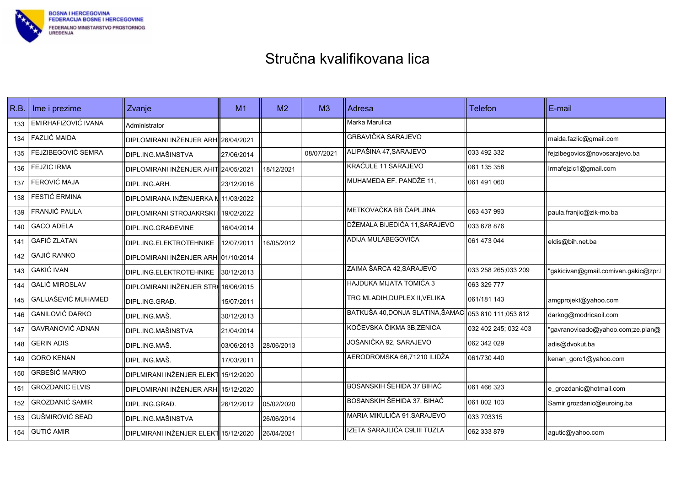

| R.B. | Ime i prezime           | Zvanje                               | M <sub>1</sub> | M <sub>2</sub> | M <sub>3</sub> | Adresa                           | <b>Telefon</b>       | E-mail                              |
|------|-------------------------|--------------------------------------|----------------|----------------|----------------|----------------------------------|----------------------|-------------------------------------|
| 133  | EMIRHAFIZOVIĆ IVANA     | Administrator                        |                |                |                | Marka Marulica                   |                      |                                     |
| 134  | FAZLIĆ MAIDA            | DIPLOMIRANI INŽENJER ARHI26/04/2021  |                |                |                | <b>GRBAVIČKA SARAJEVO</b>        |                      | maida.fazlic@gmail.com              |
| 135  | FEJZIBEGOVIĆ SEMRA      | DIPL.ING.MAŠINSTVA                   | 27/06/2014     |                | 08/07/2021     | ALIPAŠINA 47, SARAJEVO           | 033 492 332          | fejzibegovics@novosarajevo.ba       |
| 136  | FEJZIĆ IRMA             | DIPLOMIRANI INŽENJER AHIT 24/05/2021 |                | 18/12/2021     |                | KRAĆULE 11 SARAJEVO              | 061 135 358          | Irmafejzic1@gmail.com               |
| 137  | FEROVIĆ MAJA            | DIPL.ING.ARH.                        | 23/12/2016     |                |                | MUHAMEDA EF. PANDŽE 11,          | 061 491 060          |                                     |
| 138  | FESTIĆ ERMINA           | DIPLOMIRANA INŽENJERKA N11/03/2022   |                |                |                |                                  |                      |                                     |
| 139  | FRANJIĆ PAULA           | DIPLOMIRANI STROJAKRSKI I 19/02/2022 |                |                |                | METKOVAČKA BB ČAPLJINA           | 063 437 993          | paula.franjic@zik-mo.ba             |
| 140  | <b>GACO ADELA</b>       | DIPL.ING.GRAĐEVINE                   | 16/04/2014     |                |                | DŽEMALA BIJEDIĆA 11, SARAJEVO    | 033 678 876          |                                     |
| 141  | <b>GAFIĆ ZLATAN</b>     | DIPL.ING.ELEKTROTEHNIKE              | 12/07/2011     | 16/05/2012     |                | ADIJA MULABEGOVIĆA               | 061 473 044          | eldis@bih.net.ba                    |
| 142  | <b>GAJIĆ RANKO</b>      | DIPLOMIRANI INŽENJER ARHI01/10/2014  |                |                |                |                                  |                      |                                     |
| 143  | <b>GAKIĆ IVAN</b>       | DIPL.ING.ELEKTROTEHNIKE              | 30/12/2013     |                |                | ZAIMA ŠARCA 42, SARAJEVO         | 033 258 265;033 209  | 'gakicivan@gmail.comivan.gakic@zpr. |
| 144  | <b>GALIĆ MIROSLAV</b>   | DIPLOMIRANI INŽENJER STR(16/06/2015  |                |                |                | HAJDUKA MIJATA TOMIĆA 3          | 063 329 777          |                                     |
| 145  | GALIJAŠEVIĆ MUHAMED     | DIPL.ING.GRAD.                       | 15/07/2011     |                |                | TRG MLADIH, DUPLEX II, VELIKA    | 061/181 143          | amgprojekt@yahoo.com                |
| 146  | GANILOVIĆ DARKO         | DIPL.ING.MAŠ.                        | 30/12/2013     |                |                | BATKUŠA 40, DONJA SLATINA, ŠAMAC | 053 810 111;053 812  | darkog@modricaoil.com               |
| 147  | <b>GAVRANOVIĆ ADNAN</b> | DIPL.ING.MAŠINSTVA                   | 21/04/2014     |                |                | KOČEVSKA ČIKMA 3B, ZENICA        | 032 402 245; 032 403 | "gavranovicado@yahoo.com;ze.plan@   |
| 148  | <b>GERIN ADIS</b>       | IDIPL.ING.MAŠ.                       | 03/06/2013     | 28/06/2013     |                | JOŠANIČKA 92, SARAJEVO           | 062 342 029          | adis@dvokut.ba                      |
| 149  | <b>GORO KENAN</b>       | DIPL ING MAŠ.                        | 17/03/2011     |                |                | AERODROMSKA 66,71210 ILIDŽA      | 061/730 440          | kenan_goro1@yahoo.com               |
| 150  | GRBEŠIĆ MARKO           | DIPLMIRANI INŽENJER ELEKT 15/12/2020 |                |                |                |                                  |                      |                                     |
| 151  | <b>GROZDANIĆ ELVIS</b>  | DIPLOMIRANI INŽENJER ARHI 15/12/2020 |                |                |                | BOSANSKIH ŠEHIDA 37 BIHAĆ        | 061 466 323          | e_grozdanic@hotmail.com             |
| 152  | <b>GROZDANIĆ SAMIR</b>  | DIPL.ING.GRAĐ.                       | 26/12/2012     | 05/02/2020     |                | BOSANSKIH ŠEHIDA 37, BIHAĆ       | 061 802 103          | Samir.grozdanic@euroing.ba          |
| 153  | <b>GUŠMIROVIĆ SEAD</b>  | <b>DIPL.ING.MAŠINSTVA</b>            |                | 26/06/2014     |                | MARIA MIKULIĆA 91, SARAJEVO      | 033 703315           |                                     |
| 154  | <b>GUTIĆ AMIR</b>       | DIPLMIRANI INŽENJER ELEKT 15/12/2020 |                | 26/04/2021     |                | IZETA SARAJLIĆA C9LIII TUZLA     | 062 333 879          | agutic@yahoo.com                    |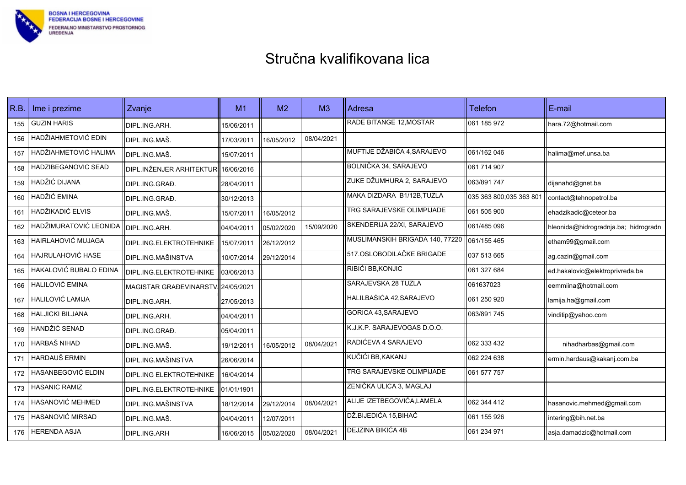

| R.B. | Ime i prezime           | Zvanje                               | M <sub>1</sub> | M <sub>2</sub> | M <sub>3</sub> | Adresa                          | <b>Telefon</b>          | E-mail                               |
|------|-------------------------|--------------------------------------|----------------|----------------|----------------|---------------------------------|-------------------------|--------------------------------------|
| 155  | <b>GUZIN HARIS</b>      | DIPL.ING.ARH.                        | 15/06/2011     |                |                | <b>RADE BITANGE 12 MOSTAR</b>   | 061 185 972             | hara.72@hotmail.com                  |
| 156  | HADŽIAHMETOVIĆ EDIN     | IDIPL.ING.MAŠ.                       | 17/03/2011     | 16/05/2012     | 08/04/2021     |                                 |                         |                                      |
| 157  | HADŽIAHMETOVIĆ HALIMA   | DIPL.ING.MAŠ.                        | 15/07/2011     |                |                | MUFTIJE DŽABIĆA 4,SARAJEVO      | 061/162 046             | halima@mef.unsa.ba                   |
| 158  | HADŽIBEGANOVIĆ SEAD     | DIPL.INŽENJER ARHITEKTURI 16/06/2016 |                |                |                | BOLNIČKA 34, SARAJEVO           | 061 714 907             |                                      |
| 159  | HADŽIĆ DIJANA           | DIPL.ING.GRAĐ.                       | 28/04/2011     |                |                | ZUKE DŽUMHURA 2, SARAJEVO       | 063/891 747             | dijanahd@gnet.ba                     |
| 160  | HADŽIĆ EMINA            | DIPL.ING.GRAĐ.                       | 30/12/2013     |                |                | MAKA DIZDARA B1/12B, TUZLA      | 035 363 800:035 363 801 | contact@tehnopetrol.ba               |
| 161  | HADŽIKADIĆ ELVIS        | IDIPL.ING.MAŠ.                       | 15/07/2011     | 16/05/2012     |                | TRG SARAJEVSKE OLIMPIJADE       | 061 505 900             | ehadzikadic@ceteor.ba                |
| 162  | HADŽIMURATOVIĆ LEONIDA  | DIPL.ING.ARH.                        | 04/04/2011     | 05/02/2020     | 15/09/2020     | SKENDERIJA 22/XI, SARAJEVO      | 061/485 096             | hleonida@hidrogradnja.ba; hidrogradn |
| 163  | HAIRLAHOVIĆ MUJAGA      | DIPL.ING.ELEKTROTEHNIKE              | 15/07/2011     | 26/12/2012     |                | MUSLIMANSKIH BRIGADA 140, 77220 | 061/155 465             | etham99@gmail.com                    |
| 164  | HAJRULAHOVIĆ HASE       | DIPL.ING.MAŠINSTVA                   | 10/07/2014     | 29/12/2014     |                | 517.OSLOBODILAČKE BRIGADE       | 037 513 665             | ag.cazin@gmail.com                   |
| 165  | HAKALOVIĆ BUBALO EDINA  | DIPL.ING.ELEKTROTEHNIKE              | 03/06/2013     |                |                | RIBIĆI BB, KONJIC               | 061 327 684             | ed.hakalovic@elektroprivreda.ba      |
| 166  | HALILOVIĆ EMINA         | MAGISTAR GRAĐEVINARSTV. 24/05/2021   |                |                |                | SARAJEVSKA 28 TUZLA             | 061637023               | eemmiina@hotmail.com                 |
| 167  | HALILOVIĆ LAMIJA        | DIPL.ING.ARH.                        | 27/05/2013     |                |                | HALILBAŠIĆA 42, SARAJEVO        | 061 250 920             | lamija.ha@gmail.com                  |
| 168  | <b>HALJICKI BILJANA</b> | DIPL.ING.ARH.                        | 04/04/2011     |                |                | GORICA 43, SARAJEVO             | 063/891 745             | vinditip@yahoo.com                   |
| 169  | HANDŽIĆ SENAD           | DIPL.ING.GRAĐ.                       | 05/04/2011     |                |                | K.J.K.P. SARAJEVOGAS D.O.O.     |                         |                                      |
| 170  | HARBAŠ NIHAD            | DIPL.ING.MAŠ.                        | 19/12/2011     | 16/05/2012     | 08/04/2021     | RADIĆEVA 4 SARAJEVO             | 062 333 432             | nihadharbas@gmail.com                |
| 171  | HARDAUŠ ERMIN           | <b>DIPL.ING.MAŠINSTVA</b>            | 26/06/2014     |                |                | KUČIĆI BB, KAKANJ               | 062 224 638             | ermin.hardaus@kakanj.com.ba          |
| 172  | HASANBEGOVIĆ ELDIN      | DIPL.ING ELEKTROTEHNIKE              | 16/04/2014     |                |                | TRG SARAJEVSKE OLIMPIJADE       | 061 577 757             |                                      |
| 173  | HASANIĆ RAMIZ           | DIPL.ING.ELEKTROTEHNIKE              | 01/01/1901     |                |                | ZENIČKA ULICA 3, MAGLAJ         |                         |                                      |
| 174  | HASANOVIĆ MEHMED        | DIPL.ING.MAŠINSTVA                   | 18/12/2014     | 29/12/2014     | 08/04/2021     | ALIJE IZETBEGOVIĆA,LAMELA       | 062 344 412             | hasanovic.mehmed@gmail.com           |
| 175  | HASANOVIĆ MIRSAD        | DIPL.ING.MAŠ.                        | 04/04/2011     | 12/07/2011     |                | DŽ.BIJEDIĆA 15,BIHAĆ            | 061 155 926             | intering@bih.net.ba                  |
| 176  | <b>HERENDA ASJA</b>     | DIPL.ING.ARH                         | 16/06/2015     | 05/02/2020     | 08/04/2021     | DEJZINA BIKIĆA 4B               | 061 234 971             | asja.damadzic@hotmail.com            |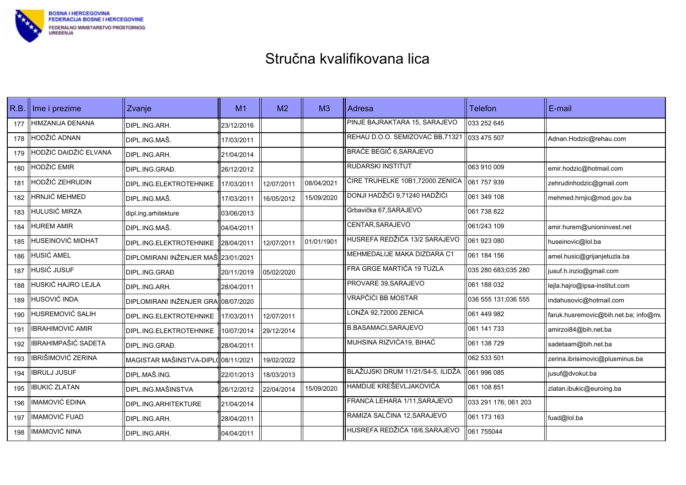

| R.B. | Ime i prezime           | Zvanje                              | M <sub>1</sub> | M <sub>2</sub> | M <sub>3</sub> | Adresa                            | <b>Telefon</b>       | E-mail                               |
|------|-------------------------|-------------------------------------|----------------|----------------|----------------|-----------------------------------|----------------------|--------------------------------------|
| 177  | HIMZANIJA ĐENANA        | DIPL.ING.ARH.                       | 23/12/2016     |                |                | PINJE BAJRAKTARA 15, SARAJEVO     | 033 252 645          |                                      |
| 178  | HODŽIĆ ADNAN            | DIPL ING MAŠ.                       | 17/03/2011     |                |                | REHAU D.O.O. SEMIZOVAC BB,71321   | 033 475 507          | Adnan.Hodzic@rehau.com               |
| 179  | HODŽIĆ DAIDŽIĆ ELVANA   | DIPL.ING.ARH.                       | 21/04/2014     |                |                | <b>BRAĆE BEGIĆ 6, SARAJEVO</b>    |                      |                                      |
| 180  | HODŽIĆ EMIR             | DIPL.ING.GRAĐ.                      | 26/12/2012     |                |                | RUDARSKI INSTITUT                 | 063 910 009          | emir.hodzic@hotmail.com              |
| 181  | HODŽIĆ ZEHRUDIN         | DIPL.ING.ELEKTROTEHNIKE             | 17/03/2011     | 12/07/2011     | 08/04/2021     | ĆIRE TRUHELKE 10B1,72000 ZENICA   | 061 757 939          | zehrudinhodzic@gmail.com             |
| 182  | <b>HRNJIĆ MEHMED</b>    | DIPL.ING.MAŠ.                       | 17/03/2011     | 16/05/2012     | 15/09/2020     | DONJI HADŽIĆI 9,71240 HADŽIĆI     | 061 349 108          | mehmed.hrnjic@mod.gov.ba             |
| 183  | <b>HULUSIĆ MIRZA</b>    | dipl.ing.arhitekture                | 03/06/2013     |                |                | Grbavička 67, SARAJEVO            | 061 738 822          |                                      |
| 184  | <b>HUREM AMIR</b>       | DIPL.ING.MAŠ.                       | 04/04/2011     |                |                | CENTAR, SARAJEVO                  | 061/243 109          | amir.hurem@unioninvest.net           |
| 185  | HUSEINOVIĆ MIDHAT       | DIPL.ING.ELEKTROTEHNIKE             | 28/04/2011     | 12/07/2011     | 01/01/1901     | HUSREFA REDŽIĆA 13/2 SARAJEVO     | 061 923 080          | huseinovic@lol.ba                    |
| 186  | <b>HUSIĆ AMEL</b>       | DIPLOMIRANI INŽENJER MAŠ 23/01/2021 |                |                |                | MEHMEDALIJE MAKA DIZDARA C1       | 061 184 156          | amel.husic@grijanjetuzla.ba          |
| 187  | <b>HUSIĆ JUSUF</b>      | <b>DIPL.ING.GRAĐ</b>                | 20/11/2019     | 05/02/2020     |                | FRA GRGE MARTIĆA 19 TUZLA         | 035 280 683;035 280  | jusuf.h.inzio@gmail.com              |
| 188  | HUSKIĆ HAJRO LEJLA      | DIPL.ING.ARH.                       | 28/04/2011     |                |                | PROVARE 39, SARAJEVO              | 061 188 032          | lejla.hajro@ipsa-institut.com        |
| 189  | HUSOVIĆ INDA            | <b>DIPLOMIRANI INŽENJER GRA</b>     | 08/07/2020     |                |                | VRAPČIĆI BB MOSTAR                | 036 555 131;036 555  | indahusovic@hotmail.com              |
| 190  | HUSREMOVIĆ SALIH        | DIPL.ING.ELEKTROTEHNIKE             | 17/03/2011     | 12/07/2011     |                | LONŽA 92,72000 ZENICA             | 061 449 982          | faruk.husremovic@bih.net.ba; info@mt |
| 191  | <b>IBRAHIMOVIĆ AMIR</b> | DIPL.ING.ELEKTROTEHNIKE             | 10/07/2014     | 29/12/2014     |                | <b>B.BASAMACI, SARAJEVO</b>       | 061 141 733          | amirzoi84@bih.net.ba                 |
| 192  | IBRAHIMPAŠIĆ SADETA     | DIPL.ING.GRAĐ.                      | 28/04/2011     |                |                | MUHSINA RIZVIĆA19, BIHAĆ          | 061 138 729          | sadetaam@bih.net.ba                  |
| 193  | IBRIŠIMOVIĆ ZERINA      | MAGISTAR MAŠINSTVA-DIPL(08/11/2021  |                | 19/02/2022     |                |                                   | 062 533 501          | zerina.ibrisimovic@plusminus.ba      |
| 194  | <b>IBRULJ JUSUF</b>     | DIPL MAŠ ING.                       | 22/01/2013     | 18/03/2013     |                | BLAŽUJSKI DRUM 11/21/S4-5, ILIDŽA | 061 996 085          | jusuf@dvokut.ba                      |
| 195  | <b>IBUKIĆ ZLATAN</b>    | <b>DIPL.ING.MAŠINSTVA</b>           | 26/12/2012     | 22/04/2014     | 15/09/2020     | HAMDIJE KREŠEVLJAKOVIĆA           | 061 108 851          | zlatan.ibukic@euroing.ba             |
| 196  | IMAMOVIĆ EDINA          | DIPL.ING.ARHITEKTURE                | 21/04/2014     |                |                | FRANCA LEHARA 1/11, SARAJEVO      | 033 291 176; 061 203 |                                      |
| 197  | IMAMOVIĆ FUAD           | DIPL.ING.ARH.                       | 28/04/2011     |                |                | RAMIZA SALČINA 12,SARAJEVO        | 061 173 163          | fuad@lol.ba                          |
| 198  | IMAMOVIĆ NINA           | DIPL.ING.ARH.                       | 04/04/2011     |                |                | HUSREFA REDŽIĆA 18/6, SARAJEVO    | 061 755044           |                                      |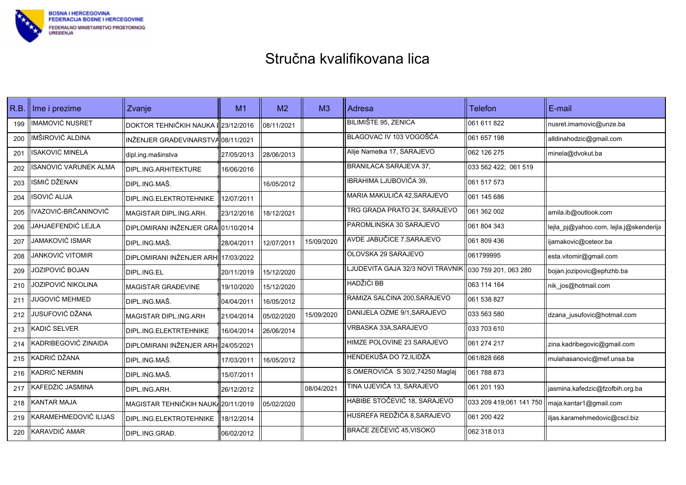

| R.B. | Ime i prezime                | Zvanje                               | M1         | M <sub>2</sub> | M <sub>3</sub> | Adresa                           | <b>Telefon</b>          | E-mail                                 |
|------|------------------------------|--------------------------------------|------------|----------------|----------------|----------------------------------|-------------------------|----------------------------------------|
| 199  | <b>IMAMOVIĆ NUSRET</b>       | DOKTOR TEHNIČKIH NAUKA I 23/12/2016  |            | 08/11/2021     |                | <b>BILIMIŠTE 95, ZENICA</b>      | 061 611 822             | nusret.imamovic@unze.ba                |
| 200  | IMŠIROVIĆ ALDINA             | INŽENJER GRAĐEVINARSTVA 08/11/2021   |            |                |                | BLAGOVAC IV 103 VOGOŠĆA          | 061 657 198             | alldinahodzic@gmail.com                |
| 201  | <b>ISAKOVIĆ MINELA</b>       | dipl.ing.mašinstva                   | 27/05/2013 | 28/06/2013     |                | Alije Nametka 17, SARAJEVO       | 062 126 275             | minela@dvokut.ba                       |
| 202  | <b>ISANOVIĆ VARUNEK ALMA</b> | DIPL.ING.ARHITEKTURE                 | 16/06/2016 |                |                | BRANILACA SARAJEVA 37,           | 033 562 422; 061 519    |                                        |
| 203  | ISMIĆ DŽENAN                 | DIPL.ING.MAŠ.                        |            | 16/05/2012     |                | <b>IBRAHIMA LJUBOVIĆA 39,</b>    | 061 517 573             |                                        |
| 204  | ISOVIĆ ALIJA                 | DIPL.ING.ELEKTROTEHNIKE              | 12/07/2011 |                |                | MARIA MAKULIĆA 42, SARAJEVO      | 061 145 686             |                                        |
| 205  | IVAZOVIĆ-BRČANINOVIĆ         | MAGISTAR DIPL.ING.ARH.               | 23/12/2016 | 18/12/2021     |                | TRG GRADA PRATO 24, SARAJEVO     | 061 362 002             | amila.ib@outlook.com                   |
| 206  | JAHJAEFENDIĆ LEJLA           | DIPLOMIRANI INŽENJER GRA 01/10/2014  |            |                |                | PAROMLINSKA 30 SARAJEVO          | 061 804 343             | lejla pj@yahoo.com, lejla.j@skenderija |
| 207  | JAMAKOVIĆ ISMAR              | DIPL.ING.MAŠ.                        | 28/04/2011 | 12/07/2011     | 15/09/2020     | AVDE JABUČICE 7, SARAJEVO        | 061 809 436             | ijamakovic@ceteor.ba                   |
| 208  | JANKOVIĆ VITOMIR             | DIPLOMIRANI INŽENJER ARHI 17/03/2022 |            |                |                | OLOVSKA 29 SARAJEVO              | 061799995               | esta.vitomir@gmail.com                 |
| 209  | JOZIPOVIĆ BOJAN              | DIPL.ING.EL                          | 20/11/2019 | 15/12/2020     |                | LJUDEVITA GAJA 32/3 NOVI TRAVNIK | 030 759 201, 063 280    | bojan.jozipovic@ephzhb.ba              |
| 210  | JOZIPOVIĆ NIKOLINA           | <b>MAGISTAR GRAĐEVINE</b>            | 19/10/2020 | 15/12/2020     |                | HADŽIĆI BB                       | 063 114 164             | nik_jos@hotmail.com                    |
| 211  | <b>JUGOVIĆ MEHMED</b>        | DIPL ING MAŠ.                        | 04/04/2011 | 16/05/2012     |                | RAMIZA SALČINA 200, SARAJEVO     | 061 538 827             |                                        |
| 212  | JUSUFOVIĆ DŽANA              | MAGISTAR DIPL.ING.ARH                | 21/04/2014 | 05/02/2020     | 15/09/2020     | DANIJELA OZME 9/1, SARAJEVO      | 033 563 580             | dzana jusufovic@hotmail.com            |
| 213  | KADIĆ SELVER                 | DIPL.ING.ELEKTRTEHNIKE               | 16/04/2014 | 26/06/2014     |                | VRBASKA 33A, SARAJEVO            | 033 703 610             |                                        |
| 214  | KADRIBEGOVIĆ ZINAIDA         | DIPLOMIRANI INŽENJER ARHI24/05/2021  |            |                |                | HIMZE POLOVINE 23 SARAJEVO       | 061 274 217             | zina.kadribegovic@gmail.com            |
| 215  | KADRIĆ DŽANA                 | DIPL.ING.MAŠ.                        | 17/03/2011 | 16/05/2012     |                | HENDEKUŠA DO 72,ILIDŽA           | 061/828 668             | mulahasanovic@mef.unsa.ba              |
| 216  | KADRIĆ NERMIN                | DIPL.ING.MAŠ.                        | 15/07/2011 |                |                | S.OMEROVIĆA S 30/2,74250 Maglaj  | 061 788 873             |                                        |
| 217  | KAFEDŽIĆ JASMINA             | DIPL.ING.ARH.                        | 26/12/2012 |                | 08/04/2021     | TINA UJEVIĆA 13, SARAJEVO        | 061 201 193             | jasmina.kafedzic@fzofbih.org.ba        |
| 218  | <b>KANTAR MAJA</b>           | MAGISTAR TEHNIČKIH NAUKA20/11/2019   |            | 05/02/2020     |                | HABIBE STOČEVIĆ 18, SARAJEVO     | 033 209 419:061 141 750 | maja.kantar1@gmail.com                 |
| 219  | KARAMEHMEDOVIĆ ILIJAS        | DIPL.ING.ELEKTROTEHNIKE              | 18/12/2014 |                |                | HUSREFA REDŽIĆA 8,SARAJEVO       | 061 200 422             | iljas.karamehmedovic@cscl.biz          |
| 220  | KARAVDIĆ AMAR                | DIPL.ING.GRAĐ.                       | 06/02/2012 |                |                | BRAĆE ZEČEVIĆ 45, VISOKO         | 062 318 013             |                                        |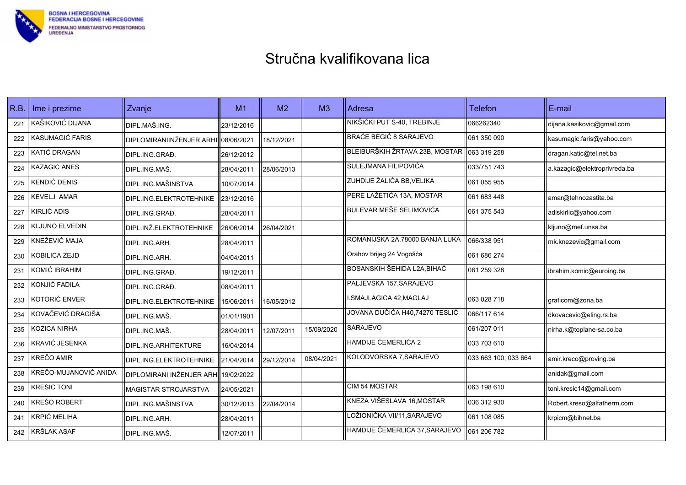

| R.B. | Ime i prezime         | Zvanje                                           | M1         | M <sub>2</sub> | M <sub>3</sub> | Adresa                         | <b>Telefon</b>       | E-mail                       |
|------|-----------------------|--------------------------------------------------|------------|----------------|----------------|--------------------------------|----------------------|------------------------------|
| 221  | KAŠIKOVIĆ DIJANA      | DIPL.MAŠ.ING.                                    | 23/12/2016 |                |                | NIKŠIČKI PUT S-40, TREBINJE    | 066262340            | dijana.kasikovic@gmail.com   |
| 222  | KASUMAGIĆ FARIS       | DIPLOMIRANIINŽENJER ARHI <sup>1</sup> 08/06/2021 |            | 18/12/2021     |                | <b>BRAĆE BEGIĆ 8 SARAJEVO</b>  | 061 350 090          | kasumagic.faris@yahoo.com    |
| 223  | KATIĆ DRAGAN          | DIPL.ING.GRAĐ.                                   | 26/12/2012 |                |                | BLEIBURŠKIH ŽRTAVA 23B, MOSTAR | 063 319 258          | dragan.katic@tel.net.ba      |
| 224  | KAZAGIĆ ANES          | DIPL.ING.MAŠ.                                    | 28/04/2011 | 28/06/2013     |                | SULEJMANA FILIPOVIĆA           | 033/751 743          | a.kazagic@elektroprivreda.ba |
| 225  | KENDIĆ DENIS          | DIPL.ING.MAŠINSTVA                               | 10/07/2014 |                |                | ZUHDIJE ŽALIĆA BB, VELIKA      | 061 055 955          |                              |
| 226  | KEVELJ AMAR           | DIPL.ING.ELEKTROTEHNIKE                          | 23/12/2016 |                |                | PERE LAŽETIĆA 13A, MOSTAR      | 061 683 448          | amar@tehnozastita.ba         |
| 227  | <b>KIRLIĆ ADIS</b>    | DIPL.ING.GRAĐ.                                   | 28/04/2011 |                |                | <b>BULEVAR MEŠE SELIMOVIĆA</b> | 061 375 543          | adiskirlic@yahoo.com         |
| 228  | <b>KLJUNO ELVEDIN</b> | DIPL.INŽ.ELEKTROTEHNIKE                          | 26/06/2014 | 26/04/2021     |                |                                |                      | kljuno@mef.unsa.ba           |
| 229  | KNEŽEVIĆ MAJA         | DIPL.ING.ARH.                                    | 28/04/2011 |                |                | ROMANIJSKA 2A,78000 BANJA LUKA | 066/338 951          | mk.knezevic@gmail.com        |
| 230  | KOBILICA ZEJD         | DIPL.ING.ARH.                                    | 04/04/2011 |                |                | Orahov brijeg 24 Vogošća       | 061 686 274          |                              |
| 231  | KOMIĆ IBRAHIM         | DIPL.ING.GRAĐ.                                   | 19/12/2011 |                |                | BOSANSKIH ŠEHIDA L2A, BIHAĆ    | 061 259 328          | ibrahim.komic@euroing.ba     |
| 232  | KONJIĆ FADILA         | DIPL.ING.GRAĐ.                                   | 08/04/2011 |                |                | PALJEVSKA 157, SARAJEVO        |                      |                              |
| 233  | KOTORIĆ ENVER         | DIPL.ING.ELEKTROTEHNIKE                          | 15/06/2011 | 16/05/2012     |                | I.SMAJLAGIĆA 42,MAGLAJ         | 063 028 718          | graficom@zona.ba             |
| 234  | KOVAČEVIĆ DRAGIŠA     | DIPL.ING.MAŠ.                                    | 01/01/1901 |                |                | JOVANA DUČIĆA H40,74270 TESLIĆ | 066/117 614          | dkovacevic@eling.rs.ba       |
| 235  | KOZICA NIRHA          | DIPL.ING.MAŠ.                                    | 28/04/2011 | 12/07/2011     | 15/09/2020     | SARAJEVO                       | 061/207 011          | nirha.k@toplane-sa.co.ba     |
| 236  | KRAVIĆ JESENKA        | DIPL.ING.ARHITEKTURE                             | 16/04/2014 |                |                | <b>HAMDIJE ĆEMERLIĆA 2</b>     | 033 703 610          |                              |
| 237  | KREČO AMIR            | DIPL.ING.ELEKTROTEHNIKE                          | 21/04/2014 | 29/12/2014     | 08/04/2021     | KOLODVORSKA 7, SARAJEVO        | 033 663 100: 033 664 | amir.kreco@proving.ba        |
| 238  | KREČO-MUJANOVIĆ ANIDA | DIPLOMIRANI INŽENJER ARHI                        | 19/02/2022 |                |                |                                |                      | anidak@gmail.com             |
| 239  | KREŠIĆ TONI           | IMAGISTAR STROJARSTVA                            | 24/05/2021 |                |                | <b>CIM 54 MOSTAR</b>           | 063 198 610          | toni.kresic14@gmail.com      |
| 240  | KREŠO ROBERT          | DIPL.ING.MAŠINSTVA                               | 30/12/2013 | 22/04/2014     |                | KNEZA VIŠESLAVA 16, MOSTAR     | 036 312 930          | Robert.kreso@alfatherm.com   |
| 241  | KRPIĆ MELIHA          | DIPL.ING.ARH.                                    | 28/04/2011 |                |                | LOŽIONIČKA VII/11,SARAJEVO     | l061 108 085         | krpicm@bihnet.ba             |
| 242  | KRŠLAK ASAF           | DIPL.ING.MAŠ.                                    | 12/07/2011 |                |                | HAMDIJE ČEMERLIĆA 37, SARAJEVO | 061 206 782          |                              |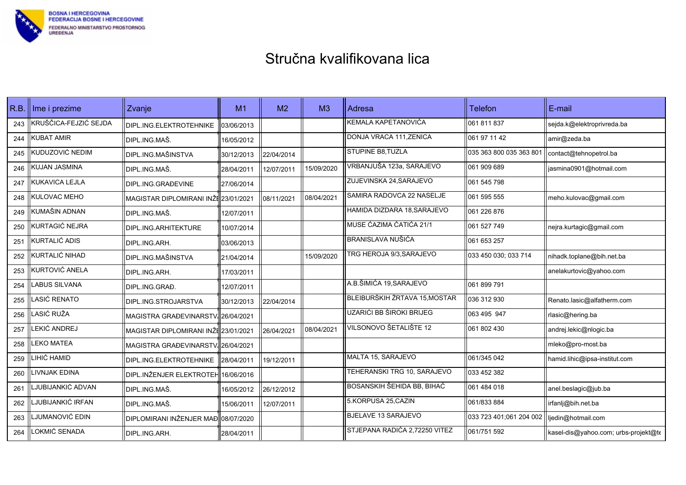

| R.B. | Ime i prezime         | Zvanje                               | M1         | M <sub>2</sub> | M3         | Adresa                        | <b>Telefon</b>          | E-mail                               |
|------|-----------------------|--------------------------------------|------------|----------------|------------|-------------------------------|-------------------------|--------------------------------------|
| 243  | KRUŠČICA-FEJZIĆ SEJDA | DIPL.ING.ELEKTROTEHNIKE              | 03/06/2013 |                |            | KEMALA KAPETANOVIĆA           | 061 811 837             | sejda.k@elektroprivreda.ba           |
| 244  | <b>KUBAT AMIR</b>     | DIPL.ING.MAŠ.                        | 16/05/2012 |                |            | DONJA VRACA 111.ZENICA        | 061 97 11 42            | amir@zeda.ba                         |
| 245  | KUDUZOVIĆ NEDIM       | DIPL.ING.MAŠINSTVA                   | 30/12/2013 | 22/04/2014     |            | STUPINE B8, TUZLA             | 035 363 800 035 363 80  | contact@tehnopetrol.ba               |
| 246  | KUJAN JASMINA         | DIPL.ING.MAŠ.                        | 28/04/2011 | 12/07/2011     | 15/09/2020 | VRBANJUŠA 123a, SARAJEVO      | 061 909 689             | jasmina0901@hotmail.com              |
| 247  | KUKAVICA LEJLA        | DIPL.ING.GRAĐEVINE                   | 27/06/2014 |                |            | ZUJEVINSKA 24, SARAJEVO       | 061 545 798             |                                      |
| 248  | KULOVAC MEHO          | MAGISTAR DIPLOMIRANI INŽE 23/01/2021 |            | 08/11/2021     | 08/04/2021 | SAMIRA RADOVCA 22 NASELJE     | 061 595 555             | meho.kulovac@gmail.com               |
| 249  | KUMAŠIN ADNAN         | DIPL.ING.MAŠ.                        | 12/07/2011 |                |            | HAMIDA DIZDARA 18, SARAJEVO   | 061 226 876             |                                      |
| 250  | KURTAGIĆ NEJRA        | DIPL.ING.ARHITEKTURE                 | 10/07/2014 |                |            | MUSE CAZIMA CATICA 21/1       | 061 527 749             | nejra.kurtagic@gmail.com             |
| 251  | KURTALIĆ ADIS         | DIPL.ING.ARH.                        | 03/06/2013 |                |            | <b>BRANISLAVA NUŠIĆA</b>      | 061 653 257             |                                      |
| 252  | KURTALIĆ NIHAD        | DIPL.ING.MAŠINSTVA                   | 21/04/2014 |                | 15/09/2020 | TRG HEROJA 9/3, SARAJEVO      | 033 450 030; 033 714    | nihadk.toplane@bih.net.ba            |
| 253  | KURTOVIĆ ANELA        | DIPL.ING.ARH.                        | 17/03/2011 |                |            |                               |                         | anelakurtovic@yahoo.com              |
| 254  | <b>ABUS SILVANA</b>   | DIPL.ING.GRAĐ.                       | 12/07/2011 |                |            | A.B.ŠIMIĆA 19, SARAJEVO       | 061 899 791             |                                      |
| 255  | ASIĆ RENATO           | DIPL.ING.STROJARSTVA                 | 30/12/2013 | 22/04/2014     |            | BLEIBURŠKIH ŽRTAVA 15, MOSTAR | 036 312 930             | Renato.lasic@alfatherm.com           |
| 256  | ASIĆ RUŽA             | MAGISTRA GRAĐEVINARSTV. 26/04/2021   |            |                |            | UZARIĆI BB ŠIROKI BRIJEG      | 063 495 947             | rlasic@hering.ba                     |
| 257  | <b>EKIĆ ANDREJ</b>    | MAGISTAR DIPLOMIRANI INŽE 23/01/2021 |            | 26/04/2021     | 08/04/2021 | VILSONOVO ŠETALIŠTE 12        | 061 802 430             | andrej.lekic@nlogic.ba               |
| 258  | <b>EKO MATEA</b>      | MAGISTRA GRAĐEVINARSTV. 26/04/2021   |            |                |            |                               |                         | mleko@pro-most.ba                    |
| 259  | <b>IHIĆ HAMID</b>     | DIPL.ING.ELEKTROTEHNIKE              | 28/04/2011 | 19/12/2011     |            | MALTA 15, SARAJEVO            | 061/345 042             | hamid.lihic@ipsa-institut.com        |
| 260  | <b>IVNJAK EDINA</b>   | DIPL.INŽENJER ELEKTROTEH 16/06/2016  |            |                |            | TEHERANSKI TRG 10, SARAJEVO   | 033 452 382             |                                      |
| 261  | JUBIJANKIĆ ADVAN      | DIPL.ING.MAŠ.                        | 16/05/2012 | 26/12/2012     |            | BOSANSKIH ŠEHIDA BB, BIHAĆ    | 061 484 018             | anel.beslagic@jub.ba                 |
| 262  | JUBIJANKIĆ IRFAN      | DIPL.ING.MAŠ.                        | 15/06/2011 | 12/07/2011     |            | 5.KORPUSA 25, CAZIN           | 061/833 884             | irfanlj@bih.net.ba                   |
| 263  | JUMANOVIĆ EDIN        | DIPLOMIRANI INŽENJER MAĐ 08/07/2020  |            |                |            | <b>BJELAVE 13 SARAJEVO</b>    | 033 723 401;061 204 002 | ljedin@hotmail.com                   |
| 264  | OKMIĆ SENADA          | DIPL.ING.ARH.                        | 28/04/2011 |                |            | STJEPANA RADIĆA 2,72250 VITEZ | 061/751 592             | kasel-dis@yahoo.com; urbs-projekt@te |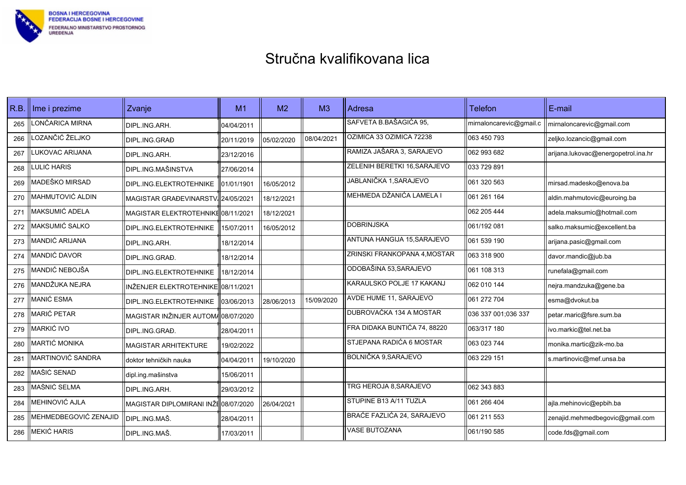

| R.B. | Ime i prezime         | Zvanje                               | M1         | M <sub>2</sub> | M <sub>3</sub> | Adresa                        | <b>Telefon</b>          | E-mail                              |
|------|-----------------------|--------------------------------------|------------|----------------|----------------|-------------------------------|-------------------------|-------------------------------------|
| 265  | LONČARICA MIRNA       | DIPL.ING.ARH.                        | 04/04/2011 |                |                | SAFVETA B.BAŠAGIĆA 95,        | mirnaloncarevic@gmail.c | mirnaloncarevic@gmail.com           |
| 266  | LOZANČIĆ ŽELJKO       | DIPL.ING.GRAĐ                        | 20/11/2019 | 05/02/2020     | 08/04/2021     | OZIMICA 33 OZIMICA 72238      | 063 450 793             | zeljko.lozancic@gmail.com           |
| 267  | LUKOVAC ARIJANA       | DIPL.ING.ARH.                        | 23/12/2016 |                |                | RAMIZA JAŠARA 3, SARAJEVO     | 062 993 682             | arijana.lukovac@energopetrol.ina.hr |
| 268  | LULIĆ HARIS           | DIPL.ING.MAŠINSTVA                   | 27/06/2014 |                |                | ZELENIH BERETKI 16, SARAJEVO  | 033 729 891             |                                     |
| 269  | MADEŠKO MIRSAD        | DIPL.ING.ELEKTROTEHNIKE              | 01/01/1901 | 16/05/2012     |                | JABLANIČKA 1, SARAJEVO        | 061 320 563             | mirsad.madesko@enova.ba             |
| 270  | MAHMUTOVIĆ ALDIN      | MAGISTAR GRAĐEVINARSTV. 24/05/2021   |            | 18/12/2021     |                | MEHMEDA DŽANIĆA LAMELA I      | 061 261 164             | aldin.mahmutovic@euroing.ba         |
| 271  | MAKSUMIĆ ADELA        | MAGISTAR ELEKTROTEHNIKE 08/11/2021   |            | 18/12/2021     |                |                               | 062 205 444             | adela.maksumic@hotmail.com          |
| 272  | MAKSUMIĆ SALKO        | DIPL.ING.ELEKTROTEHNIKE              | 15/07/2011 | 16/05/2012     |                | <b>DOBRINJSKA</b>             | 1061/192 081            | salko.maksumic@excellent.ba         |
| 273  | MANDIĆ ARIJANA        | DIPL.ING.ARH.                        | 18/12/2014 |                |                | ANTUNA HANGIJA 15, SARAJEVO   | 061 539 190             | arijana.pasic@gmail.com             |
| 274  | MANDIĆ DAVOR          | DIPL.ING.GRAĐ.                       | 18/12/2014 |                |                | ZRINSKI FRANKOPANA 4, MOSTAR  | 1063 318 900            | davor.mandic@jub.ba                 |
| 275  | MANDIĆ NEBOJŠA        | DIPL.ING.ELEKTROTEHNIKE              | 18/12/2014 |                |                | ODOBAŠINA 53, SARAJEVO        | 061 108 313             | runefala@gmail.com                  |
| 276  | MANDŽUKA NEJRA        | INŽENJER ELEKTROTEHNIKE 08/11/2021   |            |                |                | KARAULSKO POLJE 17 KAKANJ     | 062 010 144             | nejra.mandzuka@gene.ba              |
| 277  | MANIĆ ESMA            | DIPL.ING.ELEKTROTEHNIKE              | 03/06/2013 | 28/06/2013     | 15/09/2020     | <b>AVDE HUME 11, SARAJEVO</b> | 1061 272 704            | esma@dvokut.ba                      |
| 278  | MARIĆ PETAR           | MAGISTAR INŽINJER AUTOM/08/07/2020   |            |                |                | DUBROVAČKA 134 A MOSTAR       | 036 337 001:036 337     | petar.maric@fsre.sum.ba             |
| 279  | MARKIĆ IVO            | DIPL.ING.GRAĐ.                       | 28/04/2011 |                |                | FRA DIDAKA BUNTIĆA 74, 88220  | 063/317 180             | ivo.markic@tel.net.ba               |
| 280  | MARTIĆ MONIKA         | <b>MAGISTAR ARHITEKTURE</b>          | 19/02/2022 |                |                | STJEPANA RADIĆA 6 MOSTAR      | 063 023 744             | monika.martic@zik-mo.ba             |
| 281  | MARTINOVIĆ SANDRA     | ldoktor tehničkih nauka              | 04/04/2011 | 19/10/2020     |                | BOLNIČKA 9, SARAJEVO          | 063 229 151             | s.martinovic@mef.unsa.ba            |
| 282  | MAŠIĆ SENAD           | dipl.ing.mašinstva                   | 15/06/2011 |                |                |                               |                         |                                     |
| 283  | MAŠNIĆ SELMA          | DIPL.ING.ARH.                        | 29/03/2012 |                |                | TRG HEROJA 8, SARAJEVO        | 062 343 883             |                                     |
| 284  | MEHINOVIĆ AJLA        | MAGISTAR DIPLOMIRANI INŽE 08/07/2020 |            | 26/04/2021     |                | STUPINE B13 A/11 TUZLA        | 061 266 404             | ajla.mehinovic@epbih.ba             |
| 285  | MEHMEDBEGOVIĆ ZENAJID | DIPL.ING.MAŠ.                        | 28/04/2011 |                |                | BRAĆE FAZLIĆA 24, SARAJEVO    | 061 211 553             | zenajid.mehmedbegovic@gmail.com     |
| 286  | <b>MEKIĆ HARIS</b>    | DIPL.ING.MAŠ.                        | 17/03/2011 |                |                | <b>VASE BUTOZANA</b>          | 061/190 585             | code.fds@gmail.com                  |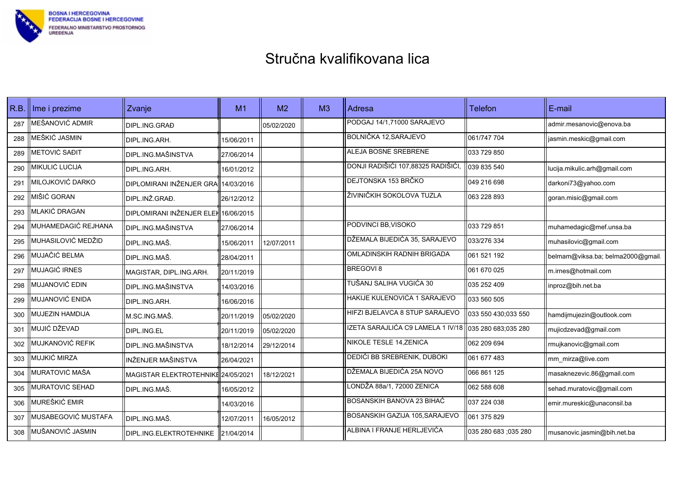

| R.B. | Ime i prezime       | Zvanje                              | M1         | M <sub>2</sub> | M3 | Adresa                             | <b>Telefon</b>       | E-mail                            |
|------|---------------------|-------------------------------------|------------|----------------|----|------------------------------------|----------------------|-----------------------------------|
| 287  | MEŠANOVIĆ ADMIR     | DIPL.ING.GRAĐ                       |            | 05/02/2020     |    | PODGAJ 14/1.71000 SARAJEVO         |                      | admir.mesanovic@enova.ba          |
| 288  | MEŠKIĆ JASMIN       | DIPL.ING.ARH.                       | 15/06/2011 |                |    | BOLNIČKA 12, SARAJEVO              | 061/747 704          | jasmin.meskic@gmail.com           |
| 289  | METOVIĆ SAĐIT       | <b>DIPL.ING.MAŠINSTVA</b>           | 27/06/2014 |                |    | ALEJA BOSNE SREBRENE               | 033 729 850          |                                   |
| 290  | MIKULIĆ LUCIJA      | DIPL.ING.ARH.                       | 16/01/2012 |                |    | DONJI RADIŠIĆI 107,88325 RADIŠIĆI, | 039 835 540          | lucija.mikulic.arh@gmail.com      |
| 291  | MILOJKOVIĆ DARKO    | DIPLOMIRANI INŽENJER GRA 14/03/2016 |            |                |    | DEJTONSKA 153 BRČKO                | 1049 216 698         | darkoni73@yahoo.com               |
| 292  | MIŠIĆ GORAN         | DIPL.INŽ.GRAĐ.                      | 26/12/2012 |                |    | ŽIVINIČKIH SOKOLOVA TUZLA          | 063 228 893          | goran.misic@gmail.com             |
| 293  | MLAKIĆ DRAGAN       | DIPLOMIRANI INŽENJER ELEH16/06/2015 |            |                |    |                                    |                      |                                   |
| 294  | MUHAMEDAGIĆ REJHANA | DIPL.ING.MAŠINSTVA                  | 27/06/2014 |                |    | PODVINCI BB, VISOKO                | 1033 729 851         | muhamedagic@mef.unsa.ba           |
| 295  | MUHASILOVIĆ MEDŽID  | DIPL.ING.MAŠ.                       | 15/06/2011 | 12/07/2011     |    | DŽEMALA BIJEDIĆA 35, SARAJEVO      | 033/276 334          | muhasilovic@gmail.com             |
| 296  | MUJAČIĆ BELMA       | DIPL.ING.MAŠ.                       | 28/04/2011 |                |    | OMLADINSKIH RADNIH BRIGADA         | 061 521 192          | belmam@viksa.ba; belma2000@gmail. |
| 297  | MUJAGIĆ IRNES       | MAGISTAR, DIPL.ING.ARH.             | 20/11/2019 |                |    | <b>BREGOVI 8</b>                   | 061 670 025          | m.irnes@hotmail.com               |
| 298  | MUJANOVIĆ EDIN      | <b>DIPL.ING.MAŠINSTVA</b>           | 14/03/2016 |                |    | TUŠANJ SALIHA VUGIĆA 30            | 035 252 409          | inproz@bih.net.ba                 |
| 299  | MUJANOVIĆ ENIDA     | DIPL.ING.ARH.                       | 16/06/2016 |                |    | HAKIJE KULENOVIĆA 1 SARAJEVO       | 033 560 505          |                                   |
| 300  | MUJEZIN HAMDIJA     | M.SC.ING.MAŠ.                       | 20/11/2019 | 05/02/2020     |    | HIFZI BJELAVCA 8 STUP SARAJEVO     | 033 550 430,033 550  | hamdijmujezin@outlook.com         |
| 301  | MUJIĆ DŽEVAD        | DIPL.ING.EL                         | 20/11/2019 | 05/02/2020     |    | IZETA SARAJLIĆA C9 LAMELA 1 IV/18  | 035 280 683,035 280  | mujicdzevad@gmail.com             |
| 302  | MUJKANOVIĆ REFIK    | DIPL.ING.MAŠINSTVA                  | 18/12/2014 | 29/12/2014     |    | NIKOLE TESLE 14, ZENICA            | 1062 209 694         | rmujkanovic@gmail.com             |
| 303  | MUJKIĆ MIRZA        | INŽENJER MAŠINSTVA                  | 26/04/2021 |                |    | DEDIĆI BB SREBRENIK, DUBOKI        | 1061 677 483         | mm_mirza@live.com                 |
| 304  | MURATOVIĆ MAŠA      | MAGISTAR ELEKTROTEHNIKE 24/05/2021  |            | 18/12/2021     |    | DŽEMALA BIJEDIĆA 25A NOVO          | 1066 861 125         | masaknezevic.86@gmail.com         |
| 305  | MURATOVIĆ SEHAD     | DIPL.ING.MAŠ.                       | 16/05/2012 |                |    | LONDŽA 88a/1, 72000 ZENICA         | 062 588 608          | sehad.muratovic@gmail.com         |
| 306  | MUREŠKIĆ EMIR       |                                     | 14/03/2016 |                |    | BOSANSKIH BANOVA 23 BIHAĆ          | 1037 224 038         | emir.mureskic@unaconsil.ba        |
| 307  | MUSABEGOVIĆ MUSTAFA | DIPL.ING.MAŠ.                       | 12/07/2011 | 16/05/2012     |    | BOSANSKIH GAZIJA 105, SARAJEVO     | 061 375 829          |                                   |
| 308  | MUŠANOVIĆ JASMIN    | DIPL.ING.ELEKTROTEHNIKE             | 21/04/2014 |                |    | ALBINA I FRANJE HERLJEVIĆA         | 035 280 683 :035 280 | musanovic.jasmin@bih.net.ba       |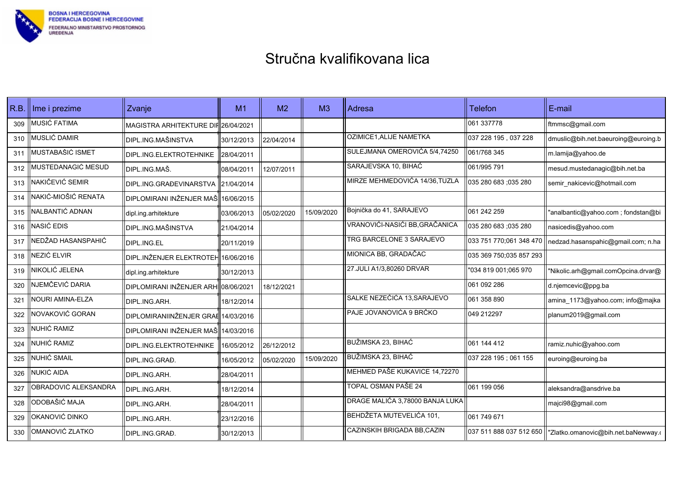

| R.B. | Ime i prezime        | Zvanje                               | M <sub>1</sub> | M <sub>2</sub> | M <sub>3</sub> | Adresa                          | <b>Telefon</b>          | E-mail                                                        |
|------|----------------------|--------------------------------------|----------------|----------------|----------------|---------------------------------|-------------------------|---------------------------------------------------------------|
| 309  | MUSIĆ FATIMA         | MAGISTRA ARHITEKTURE DIF 26/04/2021  |                |                |                |                                 | 061 337778              | ftmmsc@gmail.com                                              |
| 310  | MUSLIĆ DAMIR         | DIPL.ING.MAŠINSTVA                   | 30/12/2013     | 22/04/2014     |                | OZIMICE1, ALIJE NAMETKA         | 037 228 195, 037 228    | dmuslic@bih.net.baeuroing@euroing.b                           |
| 311  | MUSTABAŠIĆ ISMET     | DIPL.ING.ELEKTROTEHNIKE              | 28/04/2011     |                |                | SULEJMANA OMEROVIĆA 5/4,74250   | 061/768 345             | m.lamija@yahoo.de                                             |
| 312  | MUSTEDANAGIĆ MESUD   | IDIPL.ING.MAŠ.                       | 08/04/2011     | 12/07/2011     |                | SARAJEVSKA 10, BIHAĆ            | 061/995 791             | mesud.mustedanagic@bih.net.ba                                 |
| 313  | NAKIČEVIĆ SEMIR      | DIPL.ING.GRAĐEVINARSTVA              | 21/04/2014     |                |                | MIRZE MEHMEDOVIĆA 14/36, TUZLA  | 035 280 683 :035 280    | semir nakicevic@hotmail.com                                   |
| 314  | NAKIĆ-MIOŠIĆ RENATA  | DIPLOMIRANI INŽENJER MAŠ 16/06/2015  |                |                |                |                                 |                         |                                                               |
| 315  | NALBANTIĆ ADNAN      | dipl.ing.arhitekture                 | 03/06/2013     | 05/02/2020     | 15/09/2020     | Bojnička do 41, SARAJEVO        | 061 242 259             | "analbantic@yahoo.com ; fondstan@bi                           |
| 316  | NASIĆ EDIS           | DIPL.ING.MAŠINSTVA                   | 21/04/2014     |                |                | VRANOVIĆI-NASIĆI BB, GRAČANICA  | 035 280 683 ;035 280    | nasicedis@yahoo.com                                           |
| 317  | NEDŽAD HASANSPAHIĆ   | DIPL.ING.EL                          | 20/11/2019     |                |                | TRG BARCELONE 3 SARAJEVO        | 033 751 770;061 348 470 | nedzad.hasanspahic@gmail.com; n.ha                            |
| 318  | NEZIĆ ELVIR          | DIPL.INŽENJER ELEKTROTEH 16/06/2016  |                |                |                | MIONICA BB, GRADAČAC            | 035 369 750;035 857 293 |                                                               |
| 319  | NIKOLIĆ JELENA       | dipl.ing.arhitekture                 | 30/12/2013     |                |                | 27.JULI A1/3,80260 DRVAR        | "034 819 001:065 970    | "Nikolic.arh@gmail.comOpcina.drvar@                           |
| 320  | NJEMČEVIĆ DARIA      | DIPLOMIRANI INŽENJER ARHI 08/06/2021 |                | 18/12/2021     |                |                                 | 061 092 286             | d.njemcevic@ppg.ba                                            |
| 321  | NOURI AMINA-ELZA     | DIPL.ING.ARH.                        | 18/12/2014     |                |                | SALKE NEZEČIĆA 13, SARAJEVO     | 061 358 890             | amina_1173@yahoo.com; info@majka                              |
| 322  | NOVAKOVIĆ GORAN      | DIPLOMIRANIINŽENJER GRAE 14/03/2016  |                |                |                | PAJE JOVANOVIĆA 9 BRČKO         | 049 212297              | planum2019@gmail.com                                          |
| 323  | NUHIĆ RAMIZ          | DIPLOMIRANI INŽENJER MAŠ 14/03/2016  |                |                |                |                                 |                         |                                                               |
| 324  | NUHIĆ RAMIZ          | DIPL.ING.ELEKTROTEHNIKE              | 16/05/2012     | 26/12/2012     |                | BUŽIMSKA 23, BIHAĆ              | 061 144 412             | ramiz.nuhic@yahoo.com                                         |
| 325  | NUHIĆ SMAIL          | DIPL.ING.GRAĐ.                       | 16/05/2012     | 05/02/2020     | 15/09/2020     | BUŽIMSKA 23, BIHAĆ              | 037 228 195; 061 155    | euroing@euroing.ba                                            |
| 326  | NUKIĆ AIDA           | DIPL.ING.ARH.                        | 28/04/2011     |                |                | MEHMED PAŠE KUKAVICE 14,72270   |                         |                                                               |
| 327  | OBRADOVIĆ ALEKSANDRA | DIPL.ING.ARH.                        | 18/12/2014     |                |                | <b>TOPAL OSMAN PAŠE 24</b>      | 061 199 056             | aleksandra@ansdrive.ba                                        |
| 328  | ODOBAŠIĆ MAJA        | DIPL.ING.ARH.                        | 28/04/2011     |                |                | DRAGE MALIĆA 3,78000 BANJA LUKA |                         | majci98@gmail.com                                             |
| 329  | OKANOVIĆ DINKO       | DIPL.ING.ARH.                        | 23/12/2016     |                |                | BEHDŽETA MUTEVELIĆA 101,        | 061 749 671             |                                                               |
| 330  | OMANOVIĆ ZLATKO      | DIPL.ING.GRAĐ.                       | 30/12/2013     |                |                | CAZINSKIH BRIGADA BB,CAZIN      |                         | 037 511 888 037 512 650   "Zlatko.omanovic@bih.net.baNewway.o |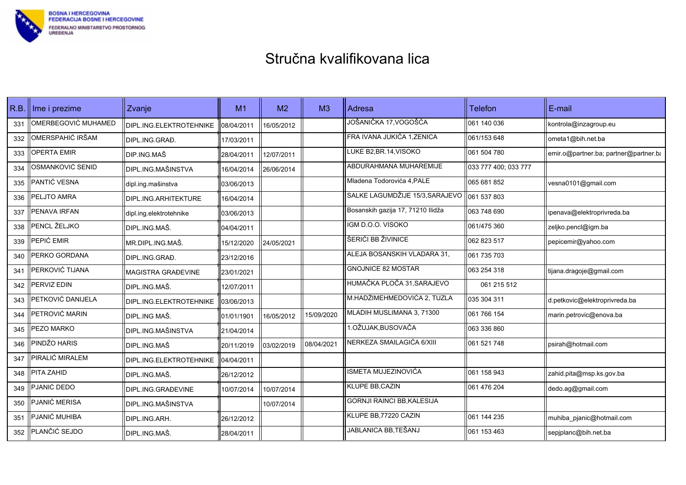

| R.B. | Ime i prezime       | Zvanje                    | M1         | M <sub>2</sub> | M <sub>3</sub> | Adresa                            | <b>Telefon</b>       | E-mail                                |
|------|---------------------|---------------------------|------------|----------------|----------------|-----------------------------------|----------------------|---------------------------------------|
| 331  | OMERBEGOVIĆ MUHAMED | DIPL.ING.ELEKTROTEHNIKE   | 08/04/2011 | 16/05/2012     |                | JOŠANIČKA 17,VOGOŠĆA              | 1061 140 036         | kontrola@inzagroup.eu                 |
| 332  | OMERSPAHIĆ IRŠAM    | DIPL.ING.GRAĐ.            | 17/03/2011 |                |                | FRA IVANA JUKIĆA 1, ZENICA        | 061/153 648          | ometa1@bih.net.ba                     |
| 333  | OPERTA EMIR         | DIP.ING.MAŠ               | 28/04/2011 | 12/07/2011     |                | LUKE B2,BR.14,VISOKO              | 061 504 780          | emir.o@partner.ba; partner@partner.ba |
| 334  | OSMANKOVIĆ SENID    | <b>DIPL.ING.MAŠINSTVA</b> | 16/04/2014 | 26/06/2014     |                | ABDURAHMANA MUHAREMIJE            | 033 777 400; 033 777 |                                       |
| 335  | PANTIĆ VESNA        | dipl.ing.mašinstva        | 03/06/2013 |                |                | Mladena Todorovića 4, PALE        | 065 681 852          | vesna0101@gmail.com                   |
| 336  | PELJTO AMRA         | DIPL.ING.ARHITEKTURE      | 16/04/2014 |                |                | SALKE LAGUMDŽIJE 15/3, SARAJEVO   | 061 537 803          |                                       |
| 337  | PENAVA IRFAN        | dipl.ing.elektrotehnike   | 03/06/2013 |                |                | Bosanskih gazija 17, 71210 Ilidža | 1063 748 690         | ipenava@elektroprivreda.ba            |
| 338  | PENCL ŽELJKO        | DIPL.ING.MAŠ.             | 04/04/2011 |                |                | IGM D.O.O. VISOKO                 | 061/475 360          | zeljko.pencl@igm.ba                   |
| 339  | PEPIĆ EMIR          | MR.DIPL.ING.MAŠ.          | 15/12/2020 | 24/05/2021     |                | ŠERIĆI BB ŽIVINICE                | 062 823 517          | pepicemir@yahoo.com                   |
| 340  | PERKO GORDANA       | DIPL.ING.GRAĐ.            | 23/12/2016 |                |                | ALEJA BOSANSKIH VLADARA 31,       | 061 735 703          |                                       |
| 341  | PERKOVIĆ TIJANA     | <b>MAGISTRA GRAĐEVINE</b> | 23/01/2021 |                |                | <b>GNOJNICE 82 MOSTAR</b>         | 063 254 318          | tijana.dragoje@gmail.com              |
| 342  | PERVIZ EDIN         | DIPL ING MAŠ.             | 12/07/2011 |                |                | HUMAČKA PLOČA 31,SARAJEVO         | 061 215 512          |                                       |
| 343  | PETKOVIĆ DANIJELA   | DIPL.ING.ELEKTROTEHNIKE   | 03/06/2013 |                |                | M.HADŽIMEHMEDOVIĆA 2, TUZLA       | 035 304 311          | d.petkovic@elektroprivreda.ba         |
| 344  | PETROVIĆ MARIN      | DIPL.ING MAŠ.             | 01/01/1901 | 16/05/2012     | 15/09/2020     | MLADIH MUSLIMANA 3, 71300         | 061 766 154          | marin.petrovic@enova.ba               |
| 345  | PEZO MARKO          | DIPL.ING.MAŠINSTVA        | 21/04/2014 |                |                | 1.OŽUJAK,BUSOVAČA                 | 063 336 860          |                                       |
| 346  | PINDŽO HARIS        | DIPL.ING.MAŠ              | 20/11/2019 | 03/02/2019     | 08/04/2021     | NERKEZA SMAILAGIĆA 6/XIII         | 061 521 748          | psirah@hotmail.com                    |
| 347  | PIRALIĆ MIRALEM     | DIPL.ING.ELEKTROTEHNIKE   | 04/04/2011 |                |                |                                   |                      |                                       |
| 348  | PITA ZAHID          | DIPL.ING.MAŠ.             | 26/12/2012 |                |                | ISMETA MUJEZINOVIĆA               | 061 158 943          | zahid.pita@msp.ks.gov.ba              |
| 349  | PJANIĆ DEDO         | DIPL.ING.GRAĐEVINE        | 10/07/2014 | 10/07/2014     |                | KLUPE BB, CAZIN                   | 061 476 204          | dedo.ag@gmail.com                     |
| 350  | PJANIĆ MERISA       | DIPL.ING.MAŠINSTVA        |            | 10/07/2014     |                | <b>GORNJI RAINCI BB, KALESIJA</b> |                      |                                       |
| 351  | PJANIĆ MUHIBA       | DIPL.ING.ARH.             | 26/12/2012 |                |                | KLUPE BB, 77220 CAZIN             | 061 144 235          | muhiba_pjanic@hotmail.com             |
| 352  | PLANČIĆ SEJDO       | DIPL.ING.MAŠ.             | 28/04/2011 |                |                | JABLANICA BB,TEŠANJ               | 1061 153 463         | sepjplanc@bih.net.ba                  |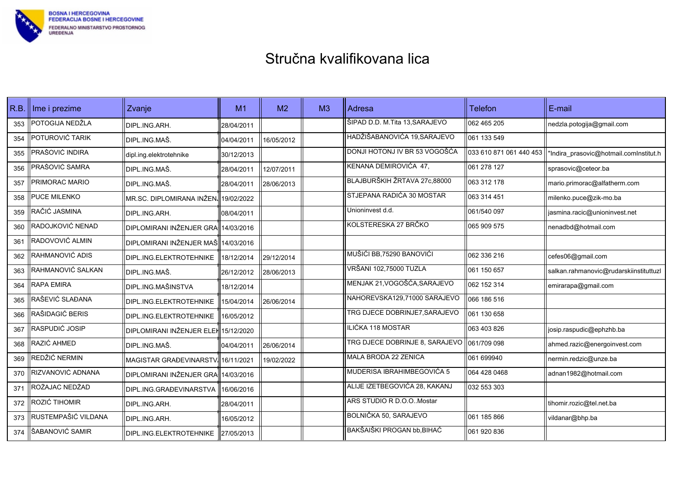

| R.B. | Ime i prezime       | Zvanje                               | M1         | M <sub>2</sub> | M <sub>3</sub> | Adresa                         | <b>Telefon</b> | E-mail                                                            |
|------|---------------------|--------------------------------------|------------|----------------|----------------|--------------------------------|----------------|-------------------------------------------------------------------|
| 353  | POTOGIJA NEDŽLA     | DIPL.ING.ARH.                        | 28/04/2011 |                |                | ŠIPAD D.D. M.Tita 13,SARAJEVO  | 062 465 205    | nedzla.potogija@gmail.com                                         |
| 354  | POTUROVIĆ TARIK     | DIPL.ING.MAŠ.                        | 04/04/2011 | 16/05/2012     |                | HADŽIŠABANOVIĆA 19, SARAJEVO   | 061 133 549    |                                                                   |
| 355  | PRAŠOVIĆ INDIRA     | dipl.ing.elektrotehnike              | 30/12/2013 |                |                | DONJI HOTONJ IV BR 53 VOGOŠĆA  |                | 033 610 871 061 440 453    "Indira_prasovic@hotmail.comInstitut.h |
| 356  | PRAŠOVIĆ SAMRA      | DIPL.ING.MAŠ.                        | 28/04/2011 | 12/07/2011     |                | KENANA DEMIROVIĆA 47,          | 1061 278 127   | sprasovic@ceteor.ba                                               |
| 357  | PRIMORAC MARIO      | DIPL.ING.MAŠ.                        | 28/04/2011 | 28/06/2013     |                | BLAJBURŠKIH ŽRTAVA 27c,88000   | 063 312 178    | mario.primorac@alfatherm.com                                      |
| 358  | PUCE MILENKO        | MR.SC. DIPLOMIRANA INŽEN. 19/02/2022 |            |                |                | STJEPANA RADIĆA 30 MOSTAR      | 063 314 451    | milenko.puce@zik-mo.ba                                            |
| 359  | RAČIĆ JASMINA       | DIPL.ING.ARH.                        | 08/04/2011 |                |                | Unioninvest d.d.               | 061/540 097    | jasmina.racic@unioninvest.net                                     |
| 360  | RADOJKOVIĆ NENAD    | DIPLOMIRANI INŽENJER GRA 14/03/2016  |            |                |                | KOLSTERESKA 27 BRČKO           | 065 909 575    | nenadbd@hotmail.com                                               |
| 361  | RADOVOVIĆ ALMIN     | DIPLOMIRANI INŽENJER MAŠ 14/03/2016  |            |                |                |                                |                |                                                                   |
| 362  | RAHMANOVIĆ ADIS     | DIPL.ING.ELEKTROTEHNIKE              | 18/12/2014 | 29/12/2014     |                | MUŠIĆI BB,75290 BANOVIĆI       | 062 336 216    | cefes06@gmail.com                                                 |
| 363  | RAHMANOVIĆ SALKAN   | DIPL.ING.MAŠ.                        | 26/12/2012 | 28/06/2013     |                | VRŠANI 102,75000 TUZLA         | 061 150 657    | salkan.rahmanovic@rudarskiinstituttuzl                            |
| 364  | RAPA EMIRA          | <b>DIPL.ING.MAŠINSTVA</b>            | 18/12/2014 |                |                | MENJAK 21, VOGOŠĆA, SARAJEVO   | 062 152 314    | emirarapa@gmail.com                                               |
| 365  | RAŠEVIĆ SLAĐANA     | DIPL.ING.ELEKTROTEHNIKE              | 15/04/2014 | 26/06/2014     |                | NAHOREVSKA129,71000 SARAJEVO   | 066 186 516    |                                                                   |
| 366  | RAŠIDAGIĆ BERIS     | DIPL.ING.ELEKTROTEHNIKE              | 16/05/2012 |                |                | TRG DJECE DOBRINJE7.SARAJEVO   | 061 130 658    |                                                                   |
| 367  | RASPUDIĆ JOSIP      | DIPLOMIRANI INŽENJER ELEH 15/12/2020 |            |                |                | ILIĆKA 118 MOSTAR              | 063 403 826    | josip.raspudic@ephzhb.ba                                          |
| 368  | RAZIĆ AHMED         | DIPL.ING.MAŠ.                        | 04/04/2011 | 26/06/2014     |                | TRG DJECE DOBRINJE 8, SARAJEVO | 061/709 098    | ahmed.razic@energoinvest.com                                      |
| 369  | REDŽIĆ NERMIN       | MAGISTAR GRAĐEVINARSTV.              | 16/11/2021 | 19/02/2022     |                | MALA BRODA 22 ZENICA           | 061 699940     | nermin.redzic@unze.ba                                             |
| 370  | RIZVANOVIĆ ADNANA   | DIPLOMIRANI INŽENJER GRA 14/03/2016  |            |                |                | MUDERISA IBRAHIMBEGOVIĆA 5     | 064 428 0468   | adnan1982@hotmail.com                                             |
| 371  | ROŽAJAC NEDŽAD      | DIPL.ING.GRAĐEVINARSTVA              | 16/06/2016 |                |                | ALIJE IZETBEGOVIĆA 28, KAKANJ  | 032 553 303    |                                                                   |
| 372  | ROZIĆ TIHOMIR       | DIPL.ING.ARH.                        | 28/04/2011 |                |                | ARS STUDIO R D.O.O. Mostar     |                | tihomir.rozic@tel.net.ba                                          |
| 373  | RUSTEMPAŠIĆ VILDANA | DIPL.ING.ARH.                        | 16/05/2012 |                |                | BOLNIČKA 50, SARAJEVO          | 061 185 866    | vildanar@bhp.ba                                                   |
| 374  | ŠABANOVIĆ SAMIR     | DIPL.ING.ELEKTROTEHNIKE              | 27/05/2013 |                |                | BAKŠAIŠKI PROGAN bb, BIHAĆ     | 061 920 836    |                                                                   |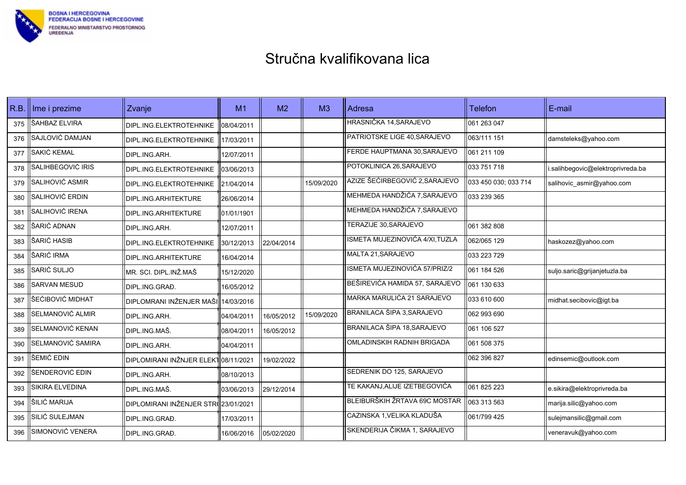

| R.B. | Ime i prezime     | Zvanje                              | M <sub>1</sub> | M <sub>2</sub> | M <sub>3</sub> | Adresa                          | <b>Telefon</b>       | E-mail                            |
|------|-------------------|-------------------------------------|----------------|----------------|----------------|---------------------------------|----------------------|-----------------------------------|
| 375  | ŠAHBAZ ELVIRA     | DIPL.ING.ELEKTROTEHNIKE             | 08/04/2011     |                |                | HRASNIČKA 14, SARAJEVO          | 061 263 047          |                                   |
| 376  | SAJLOVIĆ DAMJAN   | DIPL.ING.ELEKTROTEHNIKE             | 17/03/2011     |                |                | PATRIOTSKE LIGE 40, SARAJEVO    | 063/111 151          | damsteleks@yahoo.com              |
| 377  | SAKIĆ KEMAL       | DIPL.ING.ARH.                       | 12/07/2011     |                |                | FERDE HAUPTMANA 30, SARAJEVO    | 061 211 109          |                                   |
| 378  | SALIHBEGOVIĆ IRIS | DIPL.ING.ELEKTROTEHNIKE             | 03/06/2013     |                |                | POTOKLINICA 26, SARAJEVO        | 033 751 718          | i.salihbegovic@elektroprivreda.ba |
| 379  | SALIHOVIĆ ASMIR   | DIPL.ING.ELEKTROTEHNIKE             | 21/04/2014     |                | 15/09/2020     | AZIZE ŠEĆIRBEGOVIĆ 2, SARAJEVO  | 033 450 030; 033 714 | salihovic asmir@yahoo.com         |
| 380  | SALIHOVIĆ ERDIN   | DIPL.ING.ARHITEKTURE                | 26/06/2014     |                |                | MEHMEDA HANDŽIĆA 7.SARAJEVO     | 033 239 365          |                                   |
| 381  | SALIHOVIĆ IRENA   | DIPL.ING.ARHITEKTURE                | 01/01/1901     |                |                | MEHMEDA HANDŽIĆA 7, SARAJEVO    |                      |                                   |
| 382  | ŠARIĆ ADNAN       | DIPL ING ARH.                       | 12/07/2011     |                |                | <b>TERAZIJE 30, SARAJEVO</b>    | 061 382 808          |                                   |
| 383  | ŠARIĆ HASIB       | DIPL.ING.ELEKTROTEHNIKE             | 30/12/2013     | 22/04/2014     |                | ISMETA MUJEZINOVIĆA 4/XI, TUZLA | 062/065 129          | haskozez@yahoo.com                |
| 384  | ŠARIĆ IRMA        | DIPL.ING.ARHITEKTURE                | 16/04/2014     |                |                | MALTA 21, SARAJEVO              | 033 223 729          |                                   |
| 385  | SARIĆ SULJO       | MR. SCI. DIPL.INŽ.MAŠ               | 15/12/2020     |                |                | ISMETA MUJEZINOVIĆA 57/PRIZ/2   | 061 184 526          | suljo.saric@grijanjetuzla.ba      |
| 386  | SARVAN MESUD      | DIPL.ING.GRAĐ.                      | 16/05/2012     |                |                | BEŠIREVIĆA HAMIDA 57, SARAJEVO  | 061 130 633          |                                   |
| 387  | ŠEĆIBOVIĆ MIDHAT  | <b>DIPLOMRANI INŽENJER MAŠI</b>     | 14/03/2016     |                |                | MARKA MARULIĆA 21 SARAJEVO      | 033 610 600          | midhat.secibovic@igt.ba           |
| 388  | SELMANOVIĆ ALMIR  | DIPL.ING.ARH.                       | 04/04/2011     | 16/05/2012     | 15/09/2020     | BRANILACA ŠIPA 3, SARAJEVO      | 062 993 690          |                                   |
| 389  | SELMANOVIĆ KENAN  | IDIPL.ING.MAŠ.                      | 08/04/2011     | 16/05/2012     |                | BRANILACA ŠIPA 18, SARAJEVO     | 061 106 527          |                                   |
| 390  | SELMANOVIĆ SAMIRA | DIPL.ING.ARH.                       | 04/04/2011     |                |                | OMLADINSKIH RADNIH BRIGADA      | 061 508 375          |                                   |
| 391  | ŠEMIĆ EDIN        | DIPLOMIRANI INŽNJER ELEKT08/11/2021 |                | 19/02/2022     |                |                                 | 062 396 827          | edinsemic@outlook.com             |
| 392  | ŠENDEROVIĆ EDIN   | DIPL.ING.ARH.                       | 08/10/2013     |                |                | SEDRENIK DO 125, SARAJEVO       |                      |                                   |
| 393  | SIKIRA ELVEDINA   | DIPL.ING.MAŠ.                       | 03/06/2013     | 29/12/2014     |                | TE KAKANJ, ALIJE IZETBEGOVIĆA   | 061 825 223          | e.sikira@elektroprivreda.ba       |
| 394  | ŠILIĆ MARIJA      | DIPLOMIRANI INŽENJER STR(23/01/2021 |                |                |                | BLEIBURŠKIH ŽRTAVA 69C MOSTAR   | 063 313 563          | marija.silic@yahoo.com            |
| 395  | SILIĆ SULEJMAN    | DIPL.ING.GRAĐ.                      | 17/03/2011     |                |                | CAZINSKA 1, VELIKA KLADUŠA      | 061/799 425          | sulejmansilic@gmail.com           |
| 396  | SIMONOVIĆ VENERA  | DIPL.ING.GRAĐ.                      | 16/06/2016     | 05/02/2020     |                | SKENDERIJA ČIKMA 1, SARAJEVO    |                      | veneravuk@yahoo.com               |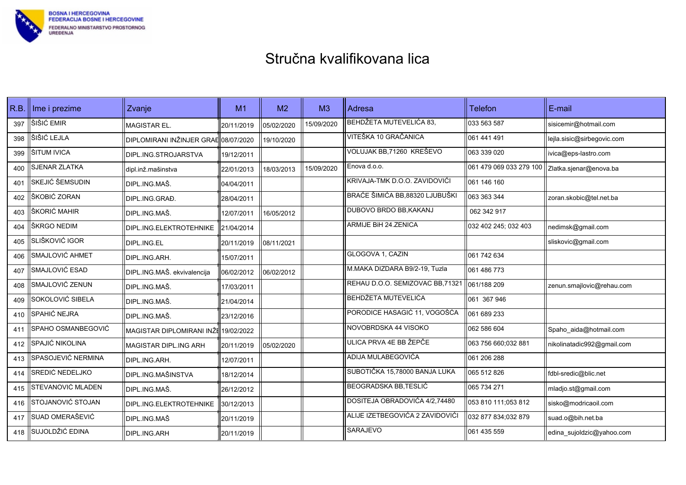

| R.B. | Ime i prezime      | Zvanje                               | M1         | M <sub>2</sub> | M <sub>3</sub> | Adresa                          | <b>Telefon</b>                                   | E-mail                     |
|------|--------------------|--------------------------------------|------------|----------------|----------------|---------------------------------|--------------------------------------------------|----------------------------|
| 397  | ŠIŠIĆ EMIR         | MAGISTAR EL.                         | 20/11/2019 | 05/02/2020     | 15/09/2020     | BEHDŽETA MUTEVELIĆA 83,         | 033 563 587                                      | sisicemir@hotmail.com      |
| 398  | ŠIŠIĆ LEJLA        | DIPLOMIRANI INŽINJER GRAE 08/07/2020 |            | 19/10/2020     |                | VITEŠKA 10 GRAČANICA            | 061 441 491                                      | lejla.sisic@sirbegovic.com |
| 399  | ŠITUM IVICA        | DIPL.ING.STROJARSTVA                 | 19/12/2011 |                |                | VOLUJAK BB,71260 KREŠEVO        | 063 339 020                                      | ivica@eps-lastro.com       |
| 400  | SJENAR ZLATKA      | dipl.inž.mašinstva                   | 22/01/2013 | 18/03/2013     | 15/09/2020     | Enova d.o.o.                    | 061 479 069 033 279 100   Zlatka.sjenar@enova.ba |                            |
| 401  | SKEJIĆ ŠEMSUDIN    | DIPL.ING.MAŠ.                        | 04/04/2011 |                |                | KRIVAJA-TMK D.O.O. ZAVIDOVIĆI   | 061 146 160                                      |                            |
| 402  | ŠKOBIĆ ZORAN       | DIPL.ING.GRAD.                       | 28/04/2011 |                |                | BRAĆE ŠIMIĆA BB,88320 LJUBUŠKI  | 063 363 344                                      | zoran.skobic@tel.net.ba    |
| 403  | ŠKORIĆ MAHIR       | DIPL.ING.MAŠ.                        | 12/07/2011 | 16/05/2012     |                | DUBOVO BRDO BB, KAKANJ          | 062 342 917                                      |                            |
| 404  | ŠKRGO NEDIM        | DIPL.ING.ELEKTROTEHNIKE              | 21/04/2014 |                |                | ARMIJE BiH 24.ZENICA            | 032 402 245; 032 403                             | nedimsk@gmail.com          |
| 405  | SLIŠKOVIĆ IGOR     | DIPL.ING.EL                          | 20/11/2019 | 08/11/2021     |                |                                 |                                                  | sliskovic@gmail.com        |
| 406  | SMAJLOVIĆ AHMET    | DIPL.ING.ARH.                        | 15/07/2011 |                |                | GLOGOVA 1, CAZIN                | 061 742 634                                      |                            |
| 407  | SMAJLOVIĆ ESAD     | DIPL.ING.MAŠ. ekvivalencija          | 06/02/2012 | 06/02/2012     |                | M.MAKA DIZDARA B9/2-19, Tuzla   | 061 486 773                                      |                            |
| 408  | SMAJLOVIĆ ZENUN    | DIPL.ING.MAŠ.                        | 17/03/2011 |                |                | REHAU D.O.O. SEMIZOVAC BB,71321 | 061/188 209                                      | zenun.smajlovic@rehau.com  |
| 409  | SOKOLOVIĆ SIBELA   | IDIPL.ING.MAŠ.                       | 21/04/2014 |                |                | <b>BEHDŽETA MUTEVELIĆA</b>      | 061 367 946                                      |                            |
| 410  | SPAHIĆ NEJRA       | DIPL.ING.MAŠ.                        | 23/12/2016 |                |                | PORODICE HASAGIĆ 11, VOGOŠĆA    | 061 689 233                                      |                            |
| 411  | SPAHO OSMANBEGOVIĆ | MAGISTAR DIPLOMIRANI INŽE 19/02/2022 |            |                |                | NOVOBRDSKA 44 VISOKO            | 062 586 604                                      | Spaho aida@hotmail.com     |
| 412  | SPAJIĆ NIKOLINA    | MAGISTAR DIPL.ING ARH                | 20/11/2019 | 05/02/2020     |                | ULICA PRVA 4E BB ŽEPČE          | 063 756 660:032 881                              | nikolinatadic992@gmail.com |
| 413  | SPASOJEVIĆ NERMINA | DIPL.ING.ARH.                        | 12/07/2011 |                |                | ADIJA MULABEGOVIĆA              | 061 206 288                                      |                            |
| 414  | SREDIĆ NEDELJKO    | DIPL.ING.MAŠINSTVA                   | 18/12/2014 |                |                | SUBOTIČKA 15,78000 BANJA LUKA   | 065 512 826                                      | fdbl-sredic@blic.net       |
| 415  | STEVANOVIĆ MLADEN  | DIPL.ING.MAŠ.                        | 26/12/2012 |                |                | BEOGRADSKA BB, TESLIĆ           | 065 734 271                                      | mladjo.st@gmail.com        |
| 416  | STOJANOVIĆ STOJAN  | DIPL.ING.ELEKTROTEHNIKE              | 30/12/2013 |                |                | DOSITEJA OBRADOVIĆA 4/2,74480   | 053 810 111;053 812                              | sisko@modricaoil.com       |
| 417  | SUAD OMERAŠEVIĆ    | DIPL.ING.MAŠ                         | 20/11/2019 |                |                | ALIJE IZETBEGOVIĆA 2 ZAVIDOVIĆI | 032 877 834;032 879                              | suad.o@bih.net.ba          |
| 418  | SUJOLDŽIĆ EDINA    | DIPL.ING.ARH                         | 20/11/2019 |                |                | <b>SARAJEVO</b>                 | 061 435 559                                      | edina_sujoldzic@yahoo.com  |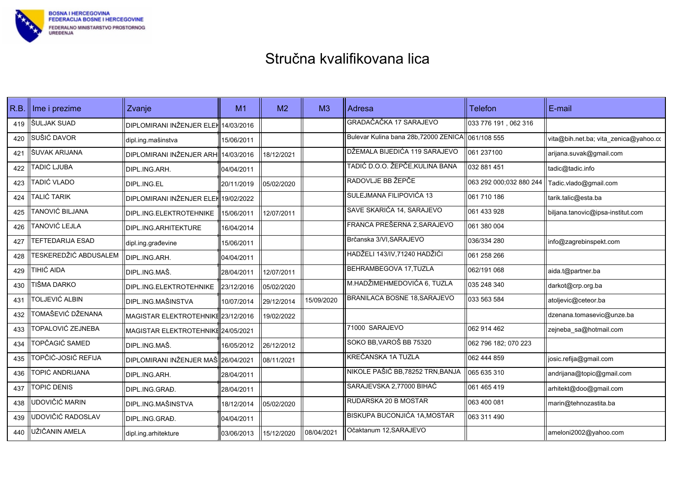

| R.B. | Ime i prezime         | Zvanje                               | M1         | M <sub>2</sub> | M <sub>3</sub> | Adresa                                            | <b>Telefon</b>          | E-mail                                |
|------|-----------------------|--------------------------------------|------------|----------------|----------------|---------------------------------------------------|-------------------------|---------------------------------------|
| 419  | ŠULJAK SUAD           | DIPLOMIRANI INŽENJER ELEK 14/03/2016 |            |                |                | GRADAČAČKA 17 SARAJEVO                            | 033 776 191, 062 316    |                                       |
| 420  | SUŠIĆ DAVOR           | dipl.ing.mašinstva                   | 15/06/2011 |                |                | Bulevar Kulina bana 28b, 72000 ZENICA 061/108 555 |                         | vita@bih.net.ba; vita_zenica@yahoo.co |
| 421  | ŠUVAK ARIJANA         | DIPLOMIRANI INŽENJER ARHI            | 14/03/2016 | 18/12/2021     |                | DŽEMALA BIJEDIĆA 119 SARAJEVO                     | 061 237100              | arijana.suvak@gmail.com               |
| 422  | TADIĆ LJUBA           | DIPL.ING.ARH.                        | 04/04/2011 |                |                | TADIĆ D.O.O. ŽEPČE, KULINA BANA                   | 032 881 451             | tadic@tadic.info                      |
| 423  | TADIĆ VLADO           | DIPL.ING.EL                          | 20/11/2019 | 05/02/2020     |                | RADOVLJE BB ŽEPČE                                 | 063 292 000,032 880 244 | Tadic.vlado@gmail.com                 |
| 424  | TALIĆ TARIK           | <b>DIPLOMIRANI INŽENJER ELEK</b>     | 19/02/2022 |                |                | SULEJMANA FILIPOVIĆA 13                           | 061 710 186             | tarik.talic@esta.ba                   |
| 425  | TANOVIĆ BILJANA       | DIPL.ING.ELEKTROTEHNIKE              | 15/06/2011 | 12/07/2011     |                | SAVE SKARIĆA 14, SARAJEVO                         | 1061 433 928            | biljana.tanovic@ipsa-institut.com     |
| 426  | TANOVIĆ LEJLA         | DIPL.ING.ARHITEKTURE                 | 16/04/2014 |                |                | FRANCA PREŠERNA 2, SARAJEVO                       | 1061 380 004            |                                       |
| 427  | TEFTEDARIJA ESAD      | dipl.ing.građevine                   | 15/06/2011 |                |                | Brčanska 3/VI, SARAJEVO                           | 036/334 280             | info@zagrebinspekt.com                |
| 428  | TESKEREDŽIĆ ABDUSALEM | DIPL.ING.ARH.                        | 04/04/2011 |                |                | HADŽELI 143/IV, 71240 HADŽIĆI                     | 061 258 266             |                                       |
| 429  | TIHIĆ AIDA            | DIPL.ING.MAŠ.                        | 28/04/2011 | 12/07/2011     |                | BEHRAMBEGOVA 17, TUZLA                            | 062/191 068             | aida.t@partner.ba                     |
| 430  | TIŠMA DARKO           | DIPL.ING.ELEKTROTEHNIKE              | 23/12/2016 | 05/02/2020     |                | M.HADŽIMEHMEDOVIĆA 6, TUZLA                       | 1035 248 340            | darkot@crp.org.ba                     |
| 431  | TOLJEVIĆ ALBIN        | <b>DIPL.ING.MAŠINSTVA</b>            | 10/07/2014 | 29/12/2014     | 15/09/2020     | BRANILACA BOSNE 18.SARAJEVO                       | 1033 563 584            | atoljevic@ceteor.ba                   |
| 432  | TOMAŠEVIĆ DŽENANA     | MAGISTAR ELEKTROTEHNIKE 23/12/2016   |            | 19/02/2022     |                |                                                   |                         | dzenana.tomasevic@unze.ba             |
| 433  | TOPALOVIĆ ZEJNEBA     | MAGISTAR ELEKTROTEHNIKE 24/05/2021   |            |                |                | 71000 SARAJEVO                                    | 062 914 462             | zejneba_sa@hotmail.com                |
| 434  | TOPČAGIĆ SAMED        | DIPL.ING.MAŠ.                        | 16/05/2012 | 26/12/2012     |                | SOKO BB, VAROŠ BB 75320                           | 062 796 182; 070 223    |                                       |
| 435  | TOPČIĆ-JOSIĆ REFIJA   | <b>DIPLOMIRANI INŽENJER MAŠ</b>      | 26/04/2021 | 08/11/2021     |                | KREČANSKA 1A TUZLA                                | 062 444 859             | josic.refija@gmail.com                |
| 436  | TOPIĆ ANDRIJANA       | DIPL.ING.ARH.                        | 28/04/2011 |                |                | NIKOLE PAŠIĆ BB,78252 TRN,BANJA                   | 065 635 310             | andrijana@topic@gmail.com             |
| 437  | TOPIĆ DENIS           | DIPL.ING.GRAĐ.                       | 28/04/2011 |                |                | SARAJEVSKA 2,77000 BIHAĆ                          | 061 465 419             | arhitekt@doo@gmail.com                |
| 438  | UDOVIČIĆ MARIN        | <b>DIPL.ING.MAŠINSTVA</b>            | 18/12/2014 | 05/02/2020     |                | RUDARSKA 20 B MOSTAR                              | 1063 400 081            | marin@tehnozastita.ba                 |
| 439  | UDOVIČIĆ RADOSLAV     | DIPL.ING.GRAĐ.                       | 04/04/2011 |                |                | <b>BISKUPA BUCONJIĆA 1A, MOSTAR</b>               | 063 311 490             |                                       |
| 440  | UŽIČANIN AMELA        | dipl.ing.arhitekture                 | 03/06/2013 | 15/12/2020     | 08/04/2021     | Očaktanum 12, SARAJEVO                            |                         | ameloni2002@yahoo.com                 |